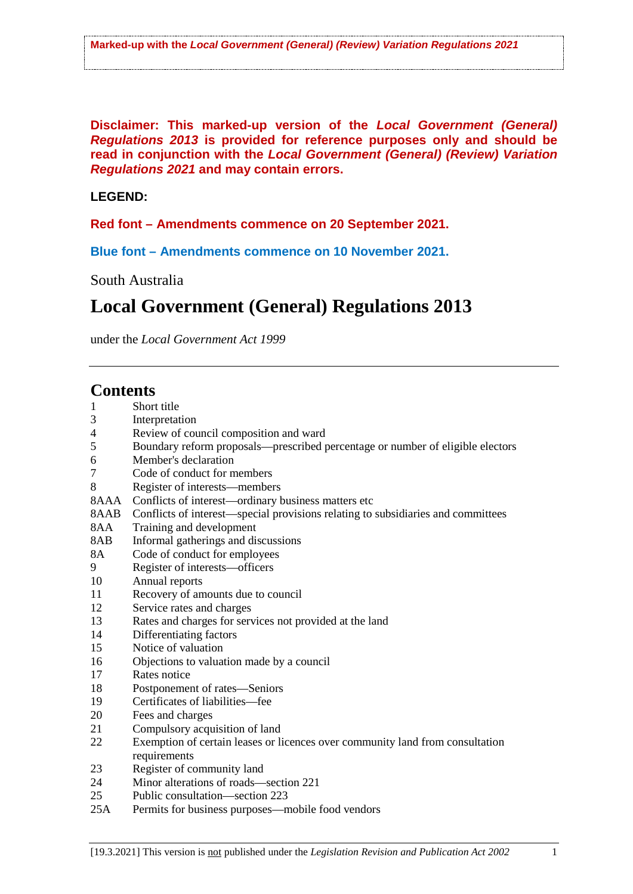**Disclaimer: This marked-up version of the** *Local Government (General) Regulations 2013* **is provided for reference purposes only and should be read in conjunction with the** *Local Government (General) (Review) Variation Regulations 2021* **and may contain errors.**

### **LEGEND:**

### **Red font – Amendments commence on 20 September 2021.**

**Blue font – Amendments commence on 10 November 2021.**

South Australia

# **Local Government (General) Regulations 2013**

under the *Local Government Act 1999*

### **Contents**

| $\mathbf{1}$   | Short title                                                                      |
|----------------|----------------------------------------------------------------------------------|
| 3              | Interpretation                                                                   |
| $\overline{4}$ | Review of council composition and ward                                           |
| 5              | Boundary reform proposals—prescribed percentage or number of eligible electors   |
| 6              | Member's declaration                                                             |
| 7              | Code of conduct for members                                                      |
| 8              | Register of interests—members                                                    |
| 8AAA           | Conflicts of interest—ordinary business matters etc                              |
| 8AAB           | Conflicts of interest—special provisions relating to subsidiaries and committees |
| 8AA            | Training and development                                                         |
| 8AB            | Informal gatherings and discussions                                              |
| 8A             | Code of conduct for employees                                                    |
| 9              | Register of interests—officers                                                   |
| 10             | Annual reports                                                                   |
| 11             | Recovery of amounts due to council                                               |
| 12             | Service rates and charges                                                        |
| 13             | Rates and charges for services not provided at the land                          |
| 14             | Differentiating factors                                                          |
| 15             | Notice of valuation                                                              |
| 16             | Objections to valuation made by a council                                        |
| 17             | Rates notice                                                                     |
| 18             | Postponement of rates-Seniors                                                    |
| 19             | Certificates of liabilities-fee                                                  |
| 20             | Fees and charges                                                                 |
| 21             | Compulsory acquisition of land                                                   |
| 22             | Exemption of certain leases or licences over community land from consultation    |
|                | requirements                                                                     |
| 23             | Register of community land                                                       |
| 24             | Minor alterations of roads—section 221                                           |
| 25             | Public consultation—section 223                                                  |
| 25A            | Permits for business purposes—mobile food vendors                                |
|                |                                                                                  |
|                |                                                                                  |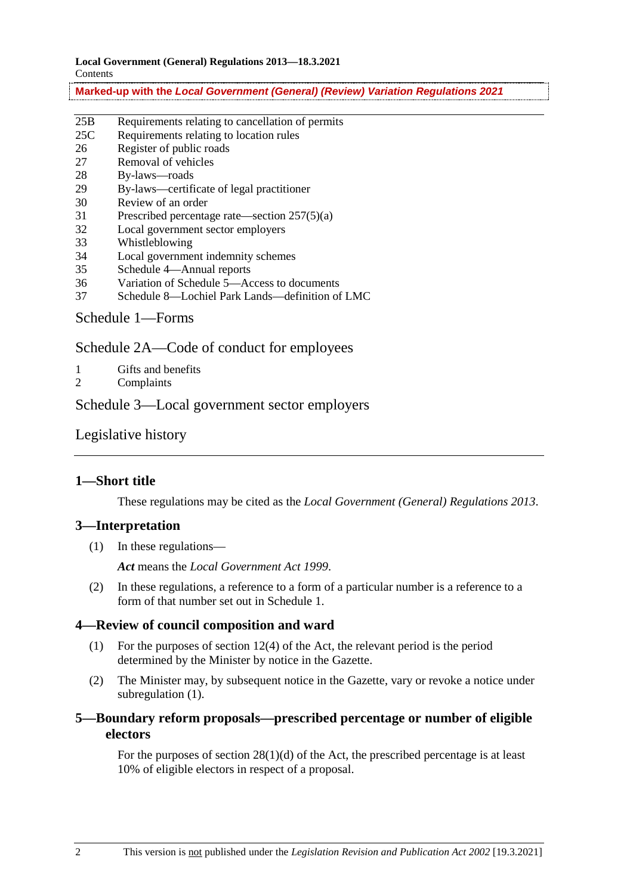| 25B              | Requirements relating to cancellation of permits |  |  |
|------------------|--------------------------------------------------|--|--|
| 25C              | Requirements relating to location rules          |  |  |
| 26               | Register of public roads                         |  |  |
| 27               | Removal of vehicles                              |  |  |
| 28               | By-laws—roads                                    |  |  |
| 29               | By-laws—certificate of legal practitioner        |  |  |
| 30               | Review of an order                               |  |  |
| 31               | Prescribed percentage rate—section $257(5)(a)$   |  |  |
| 32               | Local government sector employers                |  |  |
| 33               | Whistleblowing                                   |  |  |
| 34               | Local government indemnity schemes               |  |  |
| 35               | Schedule 4—Annual reports                        |  |  |
| 36               | Variation of Schedule 5—Access to documents      |  |  |
| 37               | Schedule 8—Lochiel Park Lands—definition of LMC  |  |  |
| Schedule 1—Forms |                                                  |  |  |

Schedule 2A—Code of conduct for employees

- 1 Gifts and benefits
- 2 Complaints

Schedule 3—Local government sector employers

Legislative history

### **1—Short title**

These regulations may be cited as the *Local Government (General) Regulations 2013*.

### **3—Interpretation**

(1) In these regulations—

*Act* means the *Local Government Act 1999*.

(2) In these regulations, a reference to a form of a particular number is a reference to a form of that number set out in Schedule 1.

### **4—Review of council composition and ward**

- (1) For the purposes of section 12(4) of the Act, the relevant period is the period determined by the Minister by notice in the Gazette.
- (2) The Minister may, by subsequent notice in the Gazette, vary or revoke a notice under subregulation (1).

### **5—Boundary reform proposals—prescribed percentage or number of eligible electors**

For the purposes of section 28(1)(d) of the Act, the prescribed percentage is at least 10% of eligible electors in respect of a proposal.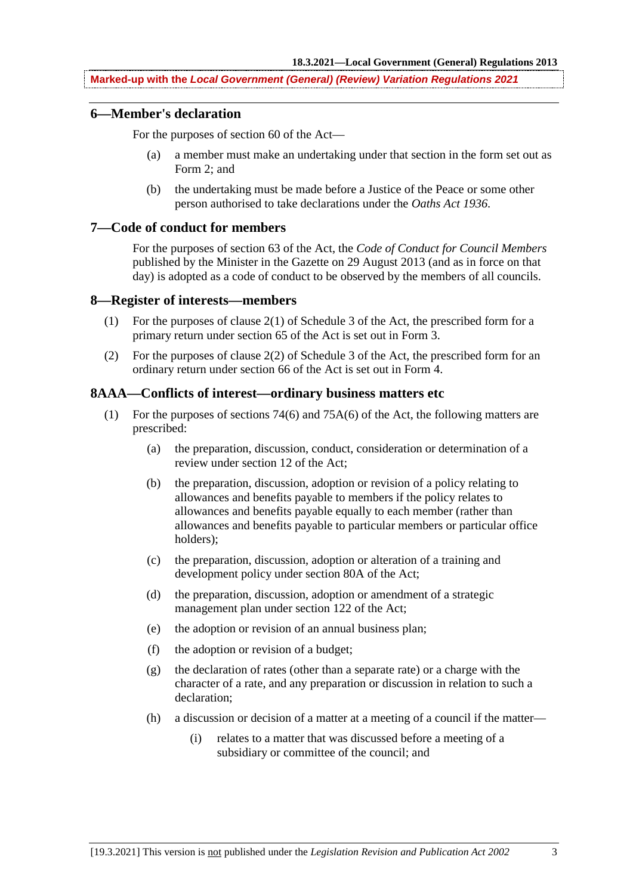#### **6—Member's declaration**

For the purposes of section 60 of the Act—

- (a) a member must make an undertaking under that section in the form set out as Form 2; and
- (b) the undertaking must be made before a Justice of the Peace or some other person authorised to take declarations under the *Oaths Act 1936*.

### **7—Code of conduct for members**

For the purposes of section 63 of the Act, the *Code of Conduct for Council Members* published by the Minister in the Gazette on 29 August 2013 (and as in force on that day) is adopted as a code of conduct to be observed by the members of all councils.

#### **8—Register of interests—members**

- (1) For the purposes of clause  $2(1)$  of Schedule 3 of the Act, the prescribed form for a primary return under section 65 of the Act is set out in Form 3.
- (2) For the purposes of clause 2(2) of Schedule 3 of the Act, the prescribed form for an ordinary return under section 66 of the Act is set out in Form 4.

#### **8AAA—Conflicts of interest—ordinary business matters etc**

- (1) For the purposes of sections 74(6) and 75A(6) of the Act, the following matters are prescribed:
	- (a) the preparation, discussion, conduct, consideration or determination of a review under section 12 of the Act;
	- (b) the preparation, discussion, adoption or revision of a policy relating to allowances and benefits payable to members if the policy relates to allowances and benefits payable equally to each member (rather than allowances and benefits payable to particular members or particular office holders);
	- (c) the preparation, discussion, adoption or alteration of a training and development policy under section 80A of the Act;
	- (d) the preparation, discussion, adoption or amendment of a strategic management plan under section 122 of the Act;
	- (e) the adoption or revision of an annual business plan;
	- (f) the adoption or revision of a budget;
	- (g) the declaration of rates (other than a separate rate) or a charge with the character of a rate, and any preparation or discussion in relation to such a declaration;
	- (h) a discussion or decision of a matter at a meeting of a council if the matter—
		- (i) relates to a matter that was discussed before a meeting of a subsidiary or committee of the council; and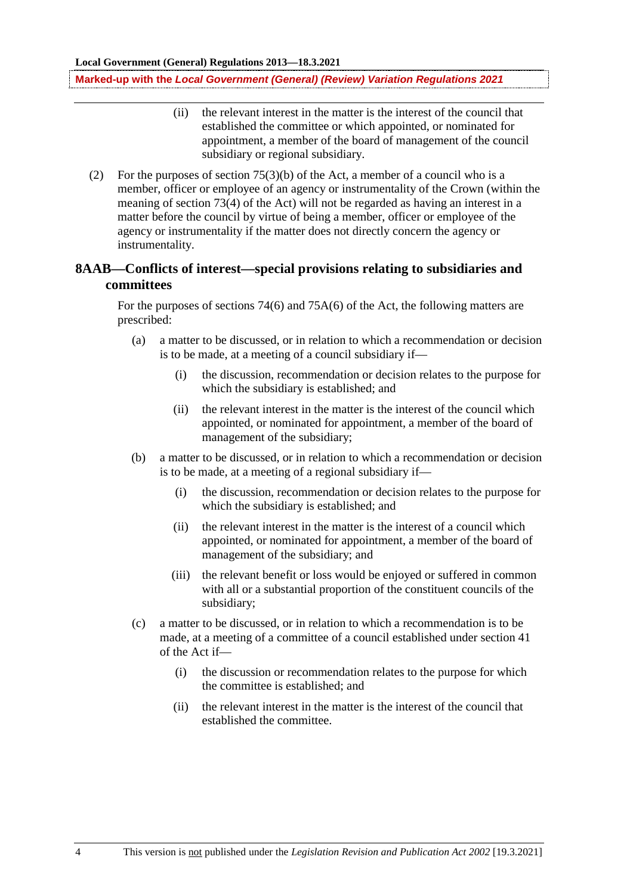- (ii) the relevant interest in the matter is the interest of the council that established the committee or which appointed, or nominated for appointment, a member of the board of management of the council subsidiary or regional subsidiary.
- (2) For the purposes of section 75(3)(b) of the Act, a member of a council who is a member, officer or employee of an agency or instrumentality of the Crown (within the meaning of section 73(4) of the Act) will not be regarded as having an interest in a matter before the council by virtue of being a member, officer or employee of the agency or instrumentality if the matter does not directly concern the agency or instrumentality.

### **8AAB—Conflicts of interest—special provisions relating to subsidiaries and committees**

For the purposes of sections 74(6) and 75A(6) of the Act, the following matters are prescribed:

- (a) a matter to be discussed, or in relation to which a recommendation or decision is to be made, at a meeting of a council subsidiary if—
	- (i) the discussion, recommendation or decision relates to the purpose for which the subsidiary is established; and
	- (ii) the relevant interest in the matter is the interest of the council which appointed, or nominated for appointment, a member of the board of management of the subsidiary;
- (b) a matter to be discussed, or in relation to which a recommendation or decision is to be made, at a meeting of a regional subsidiary if—
	- (i) the discussion, recommendation or decision relates to the purpose for which the subsidiary is established; and
	- (ii) the relevant interest in the matter is the interest of a council which appointed, or nominated for appointment, a member of the board of management of the subsidiary; and
	- (iii) the relevant benefit or loss would be enjoyed or suffered in common with all or a substantial proportion of the constituent councils of the subsidiary;
- (c) a matter to be discussed, or in relation to which a recommendation is to be made, at a meeting of a committee of a council established under section 41 of the Act if—
	- (i) the discussion or recommendation relates to the purpose for which the committee is established; and
	- (ii) the relevant interest in the matter is the interest of the council that established the committee.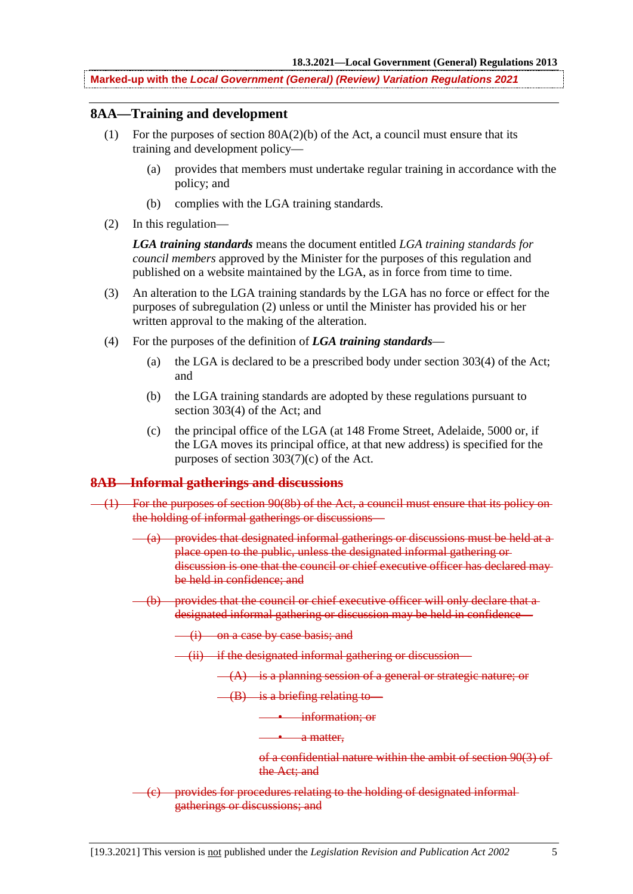### **8AA—Training and development**

- (1) For the purposes of section  $80A(2)(b)$  of the Act, a council must ensure that its training and development policy—
	- (a) provides that members must undertake regular training in accordance with the policy; and
	- (b) complies with the LGA training standards.
- (2) In this regulation—

*LGA training standards* means the document entitled *LGA training standards for council members* approved by the Minister for the purposes of this regulation and published on a website maintained by the LGA, as in force from time to time.

- (3) An alteration to the LGA training standards by the LGA has no force or effect for the purposes of subregulation (2) unless or until the Minister has provided his or her written approval to the making of the alteration.
- (4) For the purposes of the definition of *LGA training standards*
	- (a) the LGA is declared to be a prescribed body under section 303(4) of the Act; and
	- (b) the LGA training standards are adopted by these regulations pursuant to section 303(4) of the Act; and
	- (c) the principal office of the LGA (at 148 Frome Street, Adelaide, 5000 or, if the LGA moves its principal office, at that new address) is specified for the purposes of section 303(7)(c) of the Act.

### **8AB—Informal gatherings and discussions**

- (1) For the purposes of section 90(8b) of the Act, a council must ensure that its policy on the holding of informal gatherings or discussions—
	- $(a)$  provides that designated informal gatherings or discussions must be held at a place open to the public, unless the designated informal gathering or discussion is one that the council or chief executive officer has declared may be held in confidence; and
	- (b) provides that the council or chief executive officer will only declare that a designated informal gathering or discussion may be held in confidence—
		- (i) on a case by case basis; and
		- (ii) if the designated informal gathering or discussion—
			- $(A)$  is a planning session of a general or strategic nature; or
			- $-(B)$  is a briefing relating to
				- information; or
				- a matter.

of a confidential nature within the ambit of section 90(3) of the Act; and

(c) provides for procedures relating to the holding of designated informal gatherings or discussions; and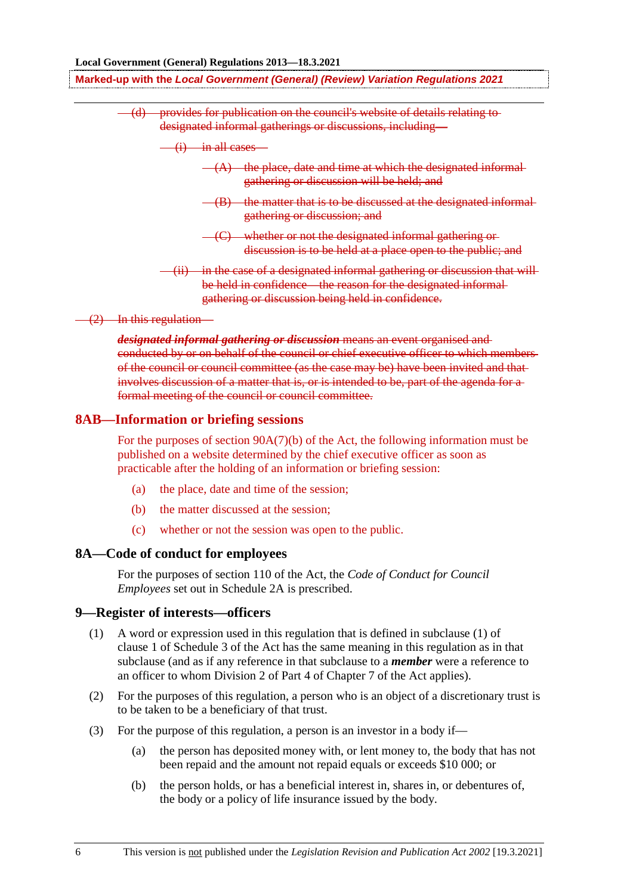(d) provides for publication on the council's website of details relating to designated informal gatherings or discussions, including—

 $\frac{1}{1}$  in all cases

- $(-A)$  the place, date and time at which the designated informal gathering or discussion will be held; and
- $-(B)$  the matter that is to be discussed at the designated informalgathering or discussion; and
- (C) whether or not the designated informal gathering or discussion is to be held at a place open to the public; and
- in the case of a designated informal gathering or discussion that will be held in confidence—the reason for the designated informalgathering or discussion being held in confidence.

(2) In this regulation—

*designated informal gathering or discussion* means an event organised and conducted by or on behalf of the council or chief executive officer to which members of the council or council committee (as the case may be) have been invited and that involves discussion of a matter that is, or is intended to be, part of the agenda for a formal meeting of the council or council committee.

#### **8AB—Information or briefing sessions**

For the purposes of section 90A(7)(b) of the Act, the following information must be published on a website determined by the chief executive officer as soon as practicable after the holding of an information or briefing session:

- (a) the place, date and time of the session;
- (b) the matter discussed at the session;
- (c) whether or not the session was open to the public.

#### **8A—Code of conduct for employees**

For the purposes of section 110 of the Act, the *Code of Conduct for Council Employees* set out in Schedule 2A is prescribed.

### **9—Register of interests—officers**

- (1) A word or expression used in this regulation that is defined in subclause (1) of clause 1 of Schedule 3 of the Act has the same meaning in this regulation as in that subclause (and as if any reference in that subclause to a *member* were a reference to an officer to whom Division 2 of Part 4 of Chapter 7 of the Act applies).
- (2) For the purposes of this regulation, a person who is an object of a discretionary trust is to be taken to be a beneficiary of that trust.
- (3) For the purpose of this regulation, a person is an investor in a body if—
	- (a) the person has deposited money with, or lent money to, the body that has not been repaid and the amount not repaid equals or exceeds \$10 000; or
	- (b) the person holds, or has a beneficial interest in, shares in, or debentures of, the body or a policy of life insurance issued by the body.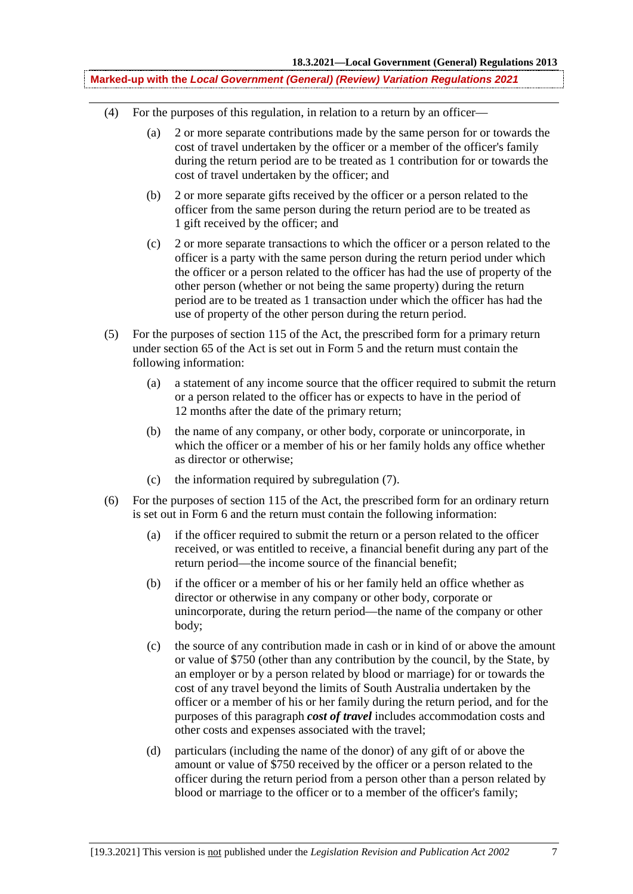- (4) For the purposes of this regulation, in relation to a return by an officer—
	- (a) 2 or more separate contributions made by the same person for or towards the cost of travel undertaken by the officer or a member of the officer's family during the return period are to be treated as 1 contribution for or towards the cost of travel undertaken by the officer; and
	- (b) 2 or more separate gifts received by the officer or a person related to the officer from the same person during the return period are to be treated as 1 gift received by the officer; and
	- (c) 2 or more separate transactions to which the officer or a person related to the officer is a party with the same person during the return period under which the officer or a person related to the officer has had the use of property of the other person (whether or not being the same property) during the return period are to be treated as 1 transaction under which the officer has had the use of property of the other person during the return period.
- (5) For the purposes of section 115 of the Act, the prescribed form for a primary return under section 65 of the Act is set out in Form 5 and the return must contain the following information:
	- (a) a statement of any income source that the officer required to submit the return or a person related to the officer has or expects to have in the period of 12 months after the date of the primary return;
	- (b) the name of any company, or other body, corporate or unincorporate, in which the officer or a member of his or her family holds any office whether as director or otherwise;
	- (c) the information required by subregulation (7).
- (6) For the purposes of section 115 of the Act, the prescribed form for an ordinary return is set out in Form 6 and the return must contain the following information:
	- (a) if the officer required to submit the return or a person related to the officer received, or was entitled to receive, a financial benefit during any part of the return period—the income source of the financial benefit;
	- (b) if the officer or a member of his or her family held an office whether as director or otherwise in any company or other body, corporate or unincorporate, during the return period—the name of the company or other body;
	- (c) the source of any contribution made in cash or in kind of or above the amount or value of \$750 (other than any contribution by the council, by the State, by an employer or by a person related by blood or marriage) for or towards the cost of any travel beyond the limits of South Australia undertaken by the officer or a member of his or her family during the return period, and for the purposes of this paragraph *cost of travel* includes accommodation costs and other costs and expenses associated with the travel;
	- (d) particulars (including the name of the donor) of any gift of or above the amount or value of \$750 received by the officer or a person related to the officer during the return period from a person other than a person related by blood or marriage to the officer or to a member of the officer's family;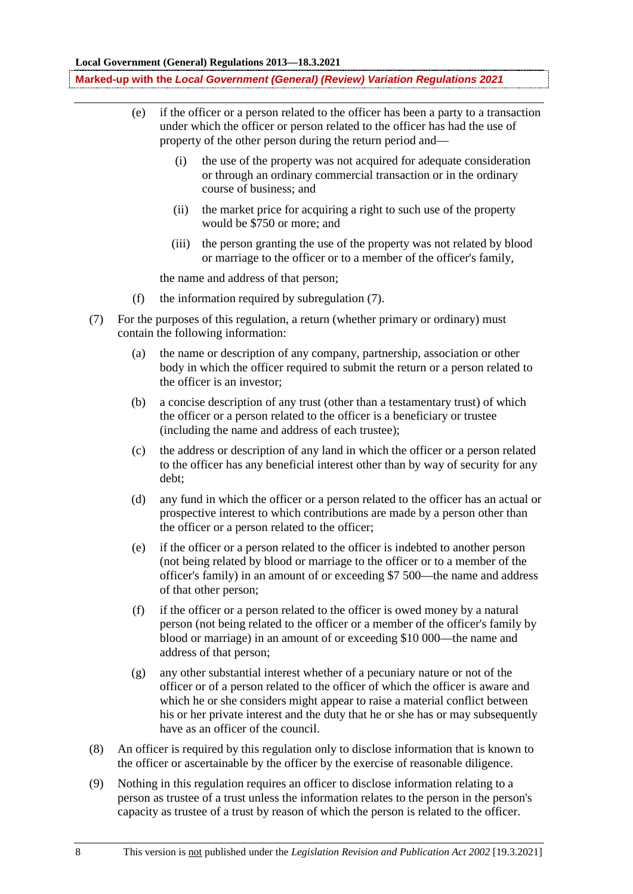- (e) if the officer or a person related to the officer has been a party to a transaction under which the officer or person related to the officer has had the use of property of the other person during the return period and—
	- (i) the use of the property was not acquired for adequate consideration or through an ordinary commercial transaction or in the ordinary course of business; and
	- (ii) the market price for acquiring a right to such use of the property would be \$750 or more; and
	- (iii) the person granting the use of the property was not related by blood or marriage to the officer or to a member of the officer's family,

the name and address of that person;

- (f) the information required by subregulation (7).
- (7) For the purposes of this regulation, a return (whether primary or ordinary) must contain the following information:
	- (a) the name or description of any company, partnership, association or other body in which the officer required to submit the return or a person related to the officer is an investor;
	- (b) a concise description of any trust (other than a testamentary trust) of which the officer or a person related to the officer is a beneficiary or trustee (including the name and address of each trustee);
	- (c) the address or description of any land in which the officer or a person related to the officer has any beneficial interest other than by way of security for any debt;
	- (d) any fund in which the officer or a person related to the officer has an actual or prospective interest to which contributions are made by a person other than the officer or a person related to the officer;
	- (e) if the officer or a person related to the officer is indebted to another person (not being related by blood or marriage to the officer or to a member of the officer's family) in an amount of or exceeding \$7 500—the name and address of that other person;
	- (f) if the officer or a person related to the officer is owed money by a natural person (not being related to the officer or a member of the officer's family by blood or marriage) in an amount of or exceeding \$10 000—the name and address of that person;
	- (g) any other substantial interest whether of a pecuniary nature or not of the officer or of a person related to the officer of which the officer is aware and which he or she considers might appear to raise a material conflict between his or her private interest and the duty that he or she has or may subsequently have as an officer of the council.
- (8) An officer is required by this regulation only to disclose information that is known to the officer or ascertainable by the officer by the exercise of reasonable diligence.
- (9) Nothing in this regulation requires an officer to disclose information relating to a person as trustee of a trust unless the information relates to the person in the person's capacity as trustee of a trust by reason of which the person is related to the officer.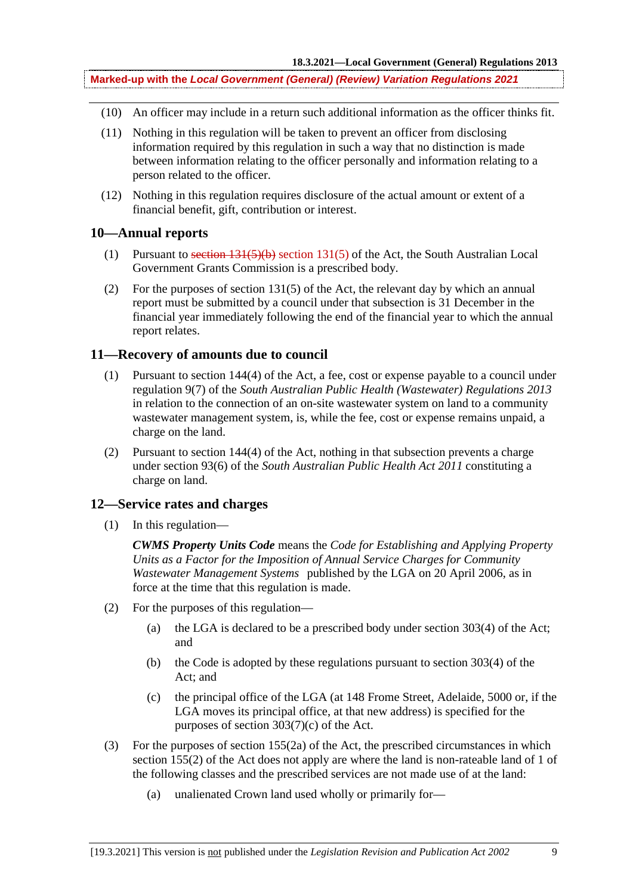- (10) An officer may include in a return such additional information as the officer thinks fit.
- (11) Nothing in this regulation will be taken to prevent an officer from disclosing information required by this regulation in such a way that no distinction is made between information relating to the officer personally and information relating to a person related to the officer.
- (12) Nothing in this regulation requires disclosure of the actual amount or extent of a financial benefit, gift, contribution or interest.

### **10—Annual reports**

- (1) Pursuant to section 131(5)(b) section 131(5) of the Act, the South Australian Local Government Grants Commission is a prescribed body.
- (2) For the purposes of section 131(5) of the Act, the relevant day by which an annual report must be submitted by a council under that subsection is 31 December in the financial year immediately following the end of the financial year to which the annual report relates.

### **11—Recovery of amounts due to council**

- (1) Pursuant to section 144(4) of the Act, a fee, cost or expense payable to a council under regulation 9(7) of the *South Australian Public Health (Wastewater) Regulations 2013* in relation to the connection of an on-site wastewater system on land to a community wastewater management system, is, while the fee, cost or expense remains unpaid, a charge on the land.
- (2) Pursuant to section 144(4) of the Act, nothing in that subsection prevents a charge under section 93(6) of the *South Australian Public Health Act 2011* constituting a charge on land.

### **12—Service rates and charges**

(1) In this regulation—

*CWMS Property Units Code* means the *Code for Establishing and Applying Property Units as a Factor for the Imposition of Annual Service Charges for Community Wastewater Management Systems* published by the LGA on 20 April 2006, as in force at the time that this regulation is made.

- (2) For the purposes of this regulation—
	- (a) the LGA is declared to be a prescribed body under section  $303(4)$  of the Act; and
	- (b) the Code is adopted by these regulations pursuant to section 303(4) of the Act; and
	- (c) the principal office of the LGA (at 148 Frome Street, Adelaide, 5000 or, if the LGA moves its principal office, at that new address) is specified for the purposes of section 303(7)(c) of the Act.
- (3) For the purposes of section 155(2a) of the Act, the prescribed circumstances in which section 155(2) of the Act does not apply are where the land is non-rateable land of 1 of the following classes and the prescribed services are not made use of at the land:
	- (a) unalienated Crown land used wholly or primarily for—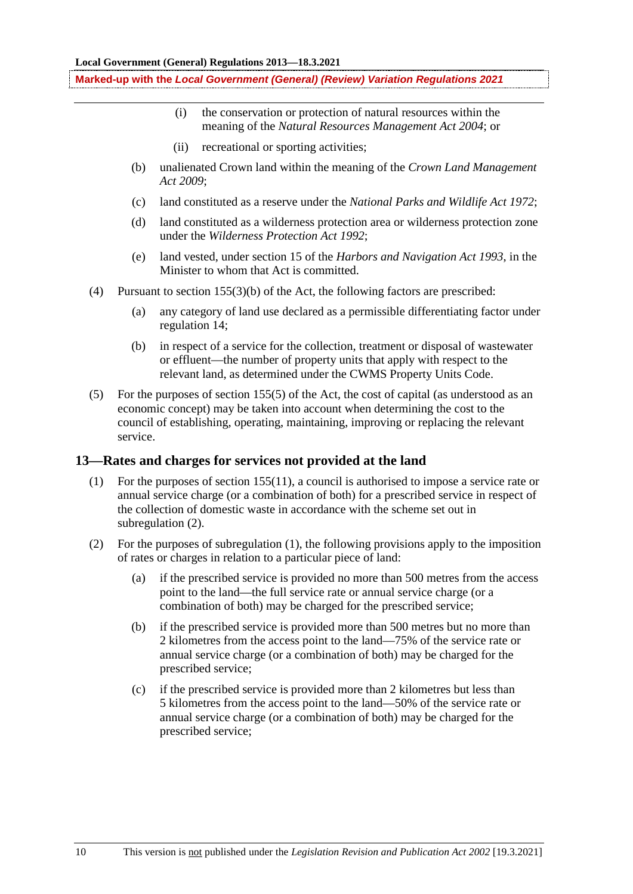- (i) the conservation or protection of natural resources within the meaning of the *Natural Resources Management Act 2004*; or
- (ii) recreational or sporting activities;
- (b) unalienated Crown land within the meaning of the *Crown Land Management Act 2009*;
- (c) land constituted as a reserve under the *National Parks and Wildlife Act 1972*;
- (d) land constituted as a wilderness protection area or wilderness protection zone under the *Wilderness Protection Act 1992*;
- (e) land vested, under section 15 of the *Harbors and Navigation Act 1993*, in the Minister to whom that Act is committed.
- (4) Pursuant to section 155(3)(b) of the Act, the following factors are prescribed:
	- (a) any category of land use declared as a permissible differentiating factor under regulation 14;
	- (b) in respect of a service for the collection, treatment or disposal of wastewater or effluent—the number of property units that apply with respect to the relevant land, as determined under the CWMS Property Units Code.
- (5) For the purposes of section 155(5) of the Act, the cost of capital (as understood as an economic concept) may be taken into account when determining the cost to the council of establishing, operating, maintaining, improving or replacing the relevant service.

### **13—Rates and charges for services not provided at the land**

- (1) For the purposes of section 155(11), a council is authorised to impose a service rate or annual service charge (or a combination of both) for a prescribed service in respect of the collection of domestic waste in accordance with the scheme set out in subregulation  $(2)$ .
- (2) For the purposes of subregulation (1), the following provisions apply to the imposition of rates or charges in relation to a particular piece of land:
	- (a) if the prescribed service is provided no more than 500 metres from the access point to the land—the full service rate or annual service charge (or a combination of both) may be charged for the prescribed service;
	- (b) if the prescribed service is provided more than 500 metres but no more than 2 kilometres from the access point to the land—75% of the service rate or annual service charge (or a combination of both) may be charged for the prescribed service;
	- (c) if the prescribed service is provided more than 2 kilometres but less than 5 kilometres from the access point to the land—50% of the service rate or annual service charge (or a combination of both) may be charged for the prescribed service;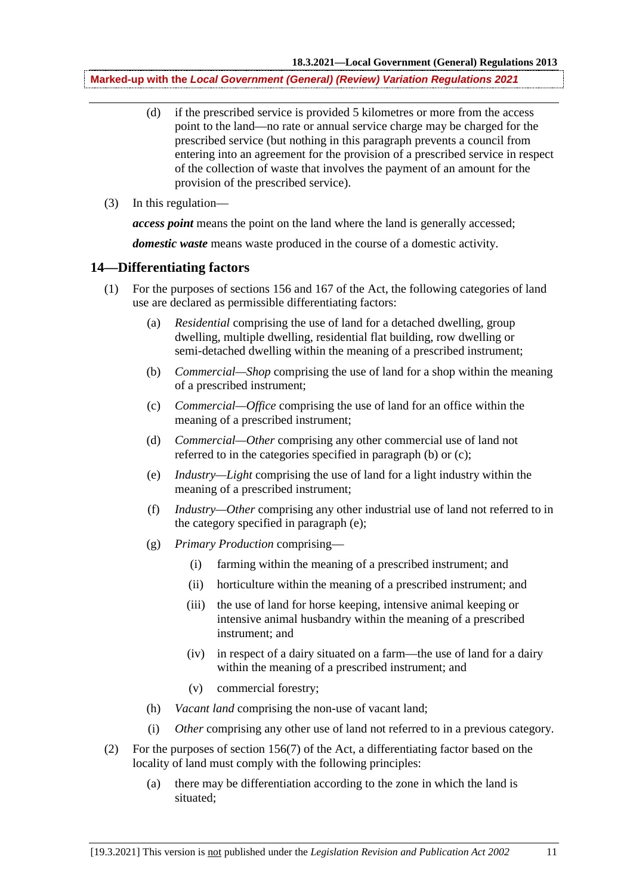- (d) if the prescribed service is provided 5 kilometres or more from the access point to the land—no rate or annual service charge may be charged for the prescribed service (but nothing in this paragraph prevents a council from entering into an agreement for the provision of a prescribed service in respect of the collection of waste that involves the payment of an amount for the provision of the prescribed service).
- (3) In this regulation—

*access point* means the point on the land where the land is generally accessed;

*domestic waste* means waste produced in the course of a domestic activity.

### **14—Differentiating factors**

- (1) For the purposes of sections 156 and 167 of the Act, the following categories of land use are declared as permissible differentiating factors:
	- (a) *Residential* comprising the use of land for a detached dwelling, group dwelling, multiple dwelling, residential flat building, row dwelling or semi-detached dwelling within the meaning of a prescribed instrument;
	- (b) *Commercial—Shop* comprising the use of land for a shop within the meaning of a prescribed instrument;
	- (c) *Commercial—Office* comprising the use of land for an office within the meaning of a prescribed instrument;
	- (d) *Commercial—Other* comprising any other commercial use of land not referred to in the categories specified in paragraph (b) or (c);
	- (e) *Industry—Light* comprising the use of land for a light industry within the meaning of a prescribed instrument;
	- (f) *Industry—Other* comprising any other industrial use of land not referred to in the category specified in paragraph (e);
	- (g) *Primary Production* comprising—
		- (i) farming within the meaning of a prescribed instrument; and
		- (ii) horticulture within the meaning of a prescribed instrument; and
		- (iii) the use of land for horse keeping, intensive animal keeping or intensive animal husbandry within the meaning of a prescribed instrument; and
		- (iv) in respect of a dairy situated on a farm—the use of land for a dairy within the meaning of a prescribed instrument; and
		- (v) commercial forestry;
	- (h) *Vacant land* comprising the non-use of vacant land;
	- (i) *Other* comprising any other use of land not referred to in a previous category.
- (2) For the purposes of section 156(7) of the Act, a differentiating factor based on the locality of land must comply with the following principles:
	- (a) there may be differentiation according to the zone in which the land is situated;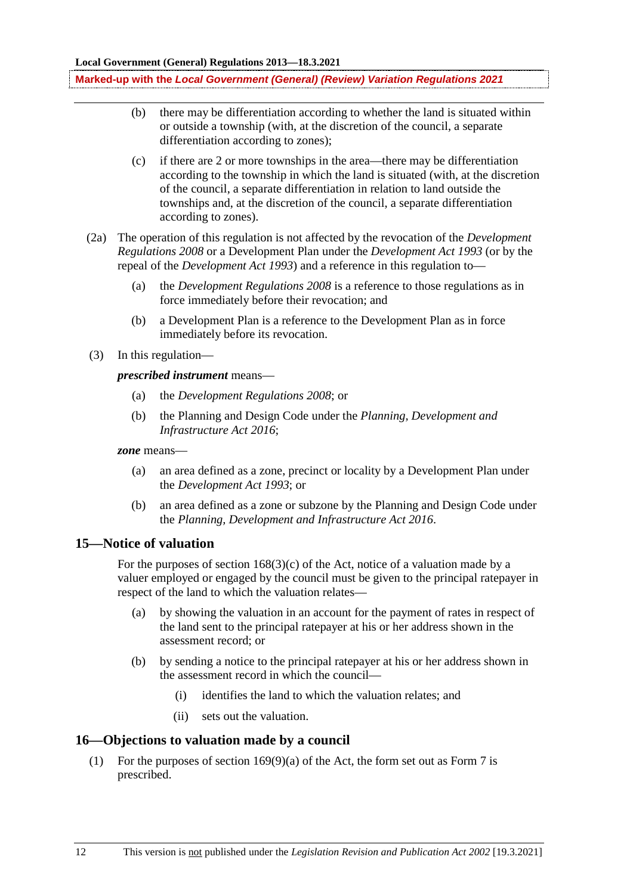- (b) there may be differentiation according to whether the land is situated within or outside a township (with, at the discretion of the council, a separate differentiation according to zones);
- (c) if there are 2 or more townships in the area—there may be differentiation according to the township in which the land is situated (with, at the discretion of the council, a separate differentiation in relation to land outside the townships and, at the discretion of the council, a separate differentiation according to zones).
- (2a) The operation of this regulation is not affected by the revocation of the *Development Regulations 2008* or a Development Plan under the *Development Act 1993* (or by the repeal of the *Development Act 1993*) and a reference in this regulation to—
	- (a) the *Development Regulations 2008* is a reference to those regulations as in force immediately before their revocation; and
	- (b) a Development Plan is a reference to the Development Plan as in force immediately before its revocation.
- (3) In this regulation—

*prescribed instrument* means—

- (a) the *Development Regulations 2008*; or
- (b) the Planning and Design Code under the *Planning, Development and Infrastructure Act 2016*;

*zone* means—

- (a) an area defined as a zone, precinct or locality by a Development Plan under the *Development Act 1993*; or
- (b) an area defined as a zone or subzone by the Planning and Design Code under the *Planning, Development and Infrastructure Act 2016*.

### **15—Notice of valuation**

For the purposes of section  $168(3)(c)$  of the Act, notice of a valuation made by a valuer employed or engaged by the council must be given to the principal ratepayer in respect of the land to which the valuation relates—

- (a) by showing the valuation in an account for the payment of rates in respect of the land sent to the principal ratepayer at his or her address shown in the assessment record; or
- (b) by sending a notice to the principal ratepayer at his or her address shown in the assessment record in which the council—
	- (i) identifies the land to which the valuation relates; and
	- (ii) sets out the valuation.

### **16—Objections to valuation made by a council**

(1) For the purposes of section 169(9)(a) of the Act, the form set out as Form 7 is prescribed.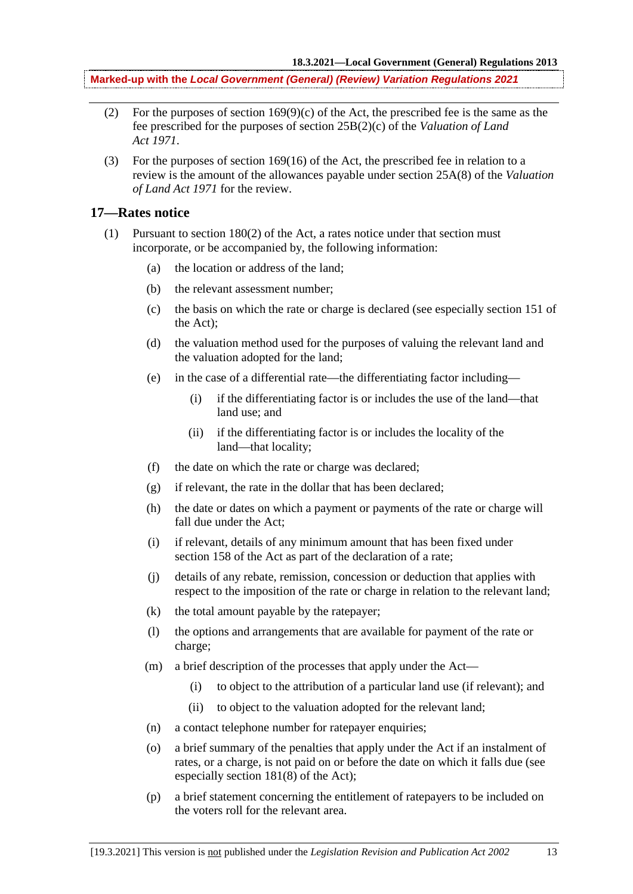- (2) For the purposes of section  $169(9)(c)$  of the Act, the prescribed fee is the same as the fee prescribed for the purposes of section 25B(2)(c) of the *Valuation of Land Act 1971*.
- (3) For the purposes of section 169(16) of the Act, the prescribed fee in relation to a review is the amount of the allowances payable under section 25A(8) of the *Valuation of Land Act 1971* for the review.

#### **17—Rates notice**

- (1) Pursuant to section 180(2) of the Act, a rates notice under that section must incorporate, or be accompanied by, the following information:
	- (a) the location or address of the land;
	- (b) the relevant assessment number;
	- (c) the basis on which the rate or charge is declared (see especially section 151 of the Act);
	- (d) the valuation method used for the purposes of valuing the relevant land and the valuation adopted for the land;
	- (e) in the case of a differential rate—the differentiating factor including—
		- (i) if the differentiating factor is or includes the use of the land—that land use; and
		- (ii) if the differentiating factor is or includes the locality of the land—that locality;
	- (f) the date on which the rate or charge was declared;
	- (g) if relevant, the rate in the dollar that has been declared;
	- (h) the date or dates on which a payment or payments of the rate or charge will fall due under the Act;
	- (i) if relevant, details of any minimum amount that has been fixed under section 158 of the Act as part of the declaration of a rate;
	- (j) details of any rebate, remission, concession or deduction that applies with respect to the imposition of the rate or charge in relation to the relevant land;
	- (k) the total amount payable by the ratepayer;
	- (l) the options and arrangements that are available for payment of the rate or charge;
	- (m) a brief description of the processes that apply under the Act—
		- (i) to object to the attribution of a particular land use (if relevant); and
		- (ii) to object to the valuation adopted for the relevant land;
	- (n) a contact telephone number for ratepayer enquiries;
	- (o) a brief summary of the penalties that apply under the Act if an instalment of rates, or a charge, is not paid on or before the date on which it falls due (see especially section 181(8) of the Act);
	- (p) a brief statement concerning the entitlement of ratepayers to be included on the voters roll for the relevant area.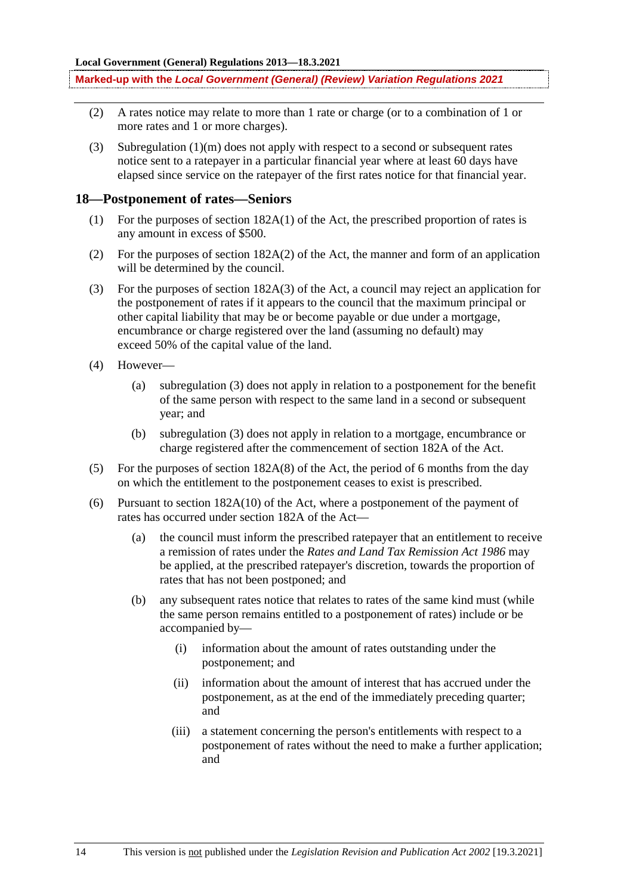- (2) A rates notice may relate to more than 1 rate or charge (or to a combination of 1 or more rates and 1 or more charges).
- (3) Subregulation (1)(m) does not apply with respect to a second or subsequent rates notice sent to a ratepayer in a particular financial year where at least 60 days have elapsed since service on the ratepayer of the first rates notice for that financial year.

#### **18—Postponement of rates—Seniors**

- (1) For the purposes of section 182A(1) of the Act, the prescribed proportion of rates is any amount in excess of \$500.
- (2) For the purposes of section 182A(2) of the Act, the manner and form of an application will be determined by the council.
- (3) For the purposes of section 182A(3) of the Act, a council may reject an application for the postponement of rates if it appears to the council that the maximum principal or other capital liability that may be or become payable or due under a mortgage, encumbrance or charge registered over the land (assuming no default) may exceed 50% of the capital value of the land.
- (4) However—
	- (a) subregulation (3) does not apply in relation to a postponement for the benefit of the same person with respect to the same land in a second or subsequent year; and
	- (b) subregulation (3) does not apply in relation to a mortgage, encumbrance or charge registered after the commencement of section 182A of the Act.
- (5) For the purposes of section 182A(8) of the Act, the period of 6 months from the day on which the entitlement to the postponement ceases to exist is prescribed.
- (6) Pursuant to section 182A(10) of the Act, where a postponement of the payment of rates has occurred under section 182A of the Act—
	- (a) the council must inform the prescribed ratepayer that an entitlement to receive a remission of rates under the *Rates and Land Tax Remission Act 1986* may be applied, at the prescribed ratepayer's discretion, towards the proportion of rates that has not been postponed; and
	- (b) any subsequent rates notice that relates to rates of the same kind must (while the same person remains entitled to a postponement of rates) include or be accompanied by—
		- (i) information about the amount of rates outstanding under the postponement; and
		- (ii) information about the amount of interest that has accrued under the postponement, as at the end of the immediately preceding quarter; and
		- (iii) a statement concerning the person's entitlements with respect to a postponement of rates without the need to make a further application; and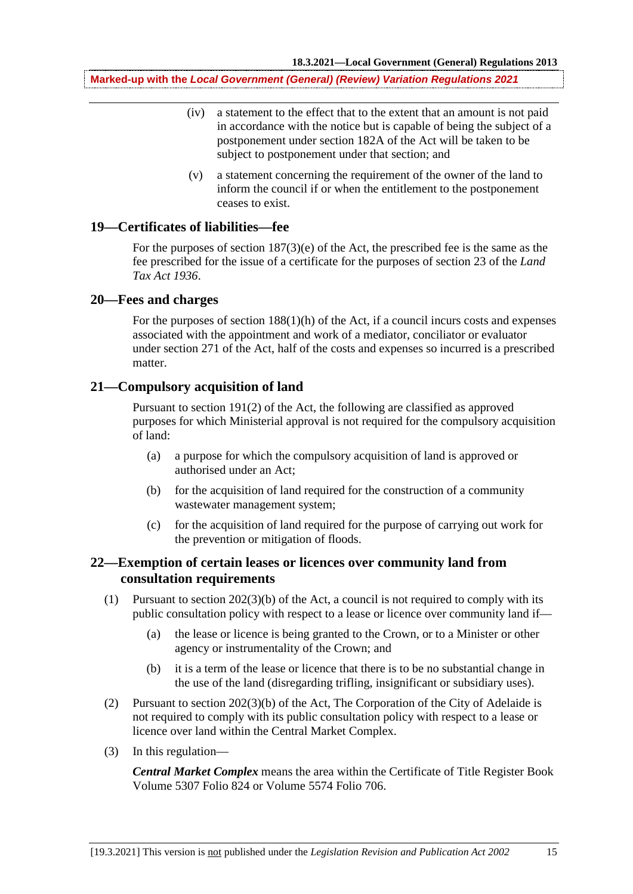- (iv) a statement to the effect that to the extent that an amount is not paid in accordance with the notice but is capable of being the subject of a postponement under section 182A of the Act will be taken to be subject to postponement under that section; and
- (v) a statement concerning the requirement of the owner of the land to inform the council if or when the entitlement to the postponement ceases to exist.

### **19—Certificates of liabilities—fee**

For the purposes of section 187(3)(e) of the Act, the prescribed fee is the same as the fee prescribed for the issue of a certificate for the purposes of section 23 of the *Land Tax Act 1936*.

### **20—Fees and charges**

For the purposes of section  $188(1)(h)$  of the Act, if a council incurs costs and expenses associated with the appointment and work of a mediator, conciliator or evaluator under section 271 of the Act, half of the costs and expenses so incurred is a prescribed matter.

#### **21—Compulsory acquisition of land**

Pursuant to section 191(2) of the Act, the following are classified as approved purposes for which Ministerial approval is not required for the compulsory acquisition of land:

- (a) a purpose for which the compulsory acquisition of land is approved or authorised under an Act;
- (b) for the acquisition of land required for the construction of a community wastewater management system;
- (c) for the acquisition of land required for the purpose of carrying out work for the prevention or mitigation of floods.

### **22—Exemption of certain leases or licences over community land from consultation requirements**

- (1) Pursuant to section 202(3)(b) of the Act, a council is not required to comply with its public consultation policy with respect to a lease or licence over community land if—
	- (a) the lease or licence is being granted to the Crown, or to a Minister or other agency or instrumentality of the Crown; and
	- (b) it is a term of the lease or licence that there is to be no substantial change in the use of the land (disregarding trifling, insignificant or subsidiary uses).
- (2) Pursuant to section 202(3)(b) of the Act, The Corporation of the City of Adelaide is not required to comply with its public consultation policy with respect to a lease or licence over land within the Central Market Complex.
- (3) In this regulation—

*Central Market Complex* means the area within the Certificate of Title Register Book Volume 5307 Folio 824 or Volume 5574 Folio 706.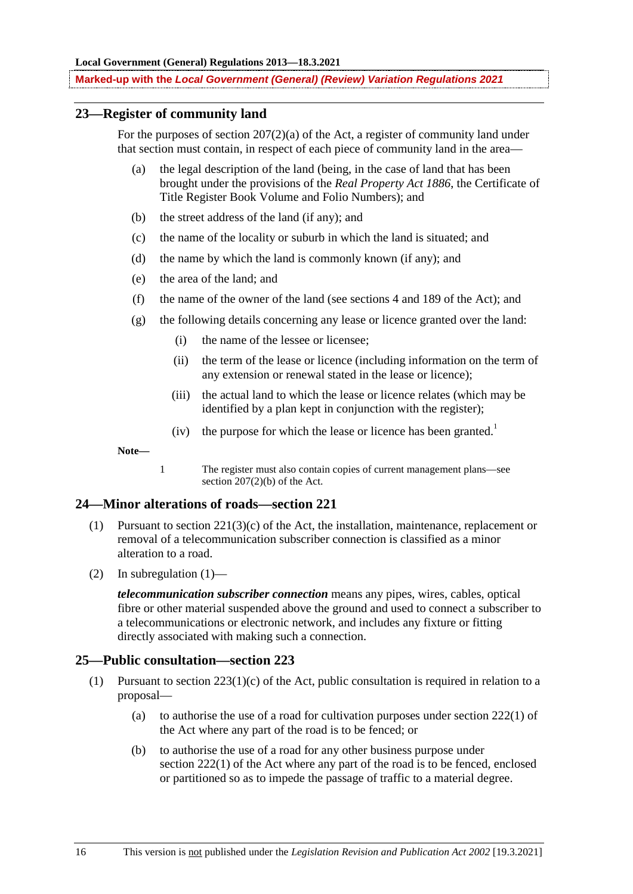### **23—Register of community land**

For the purposes of section  $207(2)(a)$  of the Act, a register of community land under that section must contain, in respect of each piece of community land in the area—

- (a) the legal description of the land (being, in the case of land that has been brought under the provisions of the *Real Property Act 1886*, the Certificate of Title Register Book Volume and Folio Numbers); and
- (b) the street address of the land (if any); and
- (c) the name of the locality or suburb in which the land is situated; and
- (d) the name by which the land is commonly known (if any); and
- (e) the area of the land; and
- (f) the name of the owner of the land (see sections 4 and 189 of the Act); and
- (g) the following details concerning any lease or licence granted over the land:
	- (i) the name of the lessee or licensee;
	- (ii) the term of the lease or licence (including information on the term of any extension or renewal stated in the lease or licence);
	- (iii) the actual land to which the lease or licence relates (which may be identified by a plan kept in conjunction with the register);
	- (iv) the purpose for which the lease or licence has been granted.<sup>1</sup>

**Note—**

1 The register must also contain copies of current management plans—see section  $207(2)(b)$  of the Act.

#### **24—Minor alterations of roads—section 221**

- (1) Pursuant to section 221(3)(c) of the Act, the installation, maintenance, replacement or removal of a telecommunication subscriber connection is classified as a minor alteration to a road.
- (2) In subregulation (1)—

*telecommunication subscriber connection* means any pipes, wires, cables, optical fibre or other material suspended above the ground and used to connect a subscriber to a telecommunications or electronic network, and includes any fixture or fitting directly associated with making such a connection.

#### **25—Public consultation—section 223**

- (1) Pursuant to section  $223(1)(c)$  of the Act, public consultation is required in relation to a proposal—
	- (a) to authorise the use of a road for cultivation purposes under section 222(1) of the Act where any part of the road is to be fenced; or
	- (b) to authorise the use of a road for any other business purpose under section 222(1) of the Act where any part of the road is to be fenced, enclosed or partitioned so as to impede the passage of traffic to a material degree.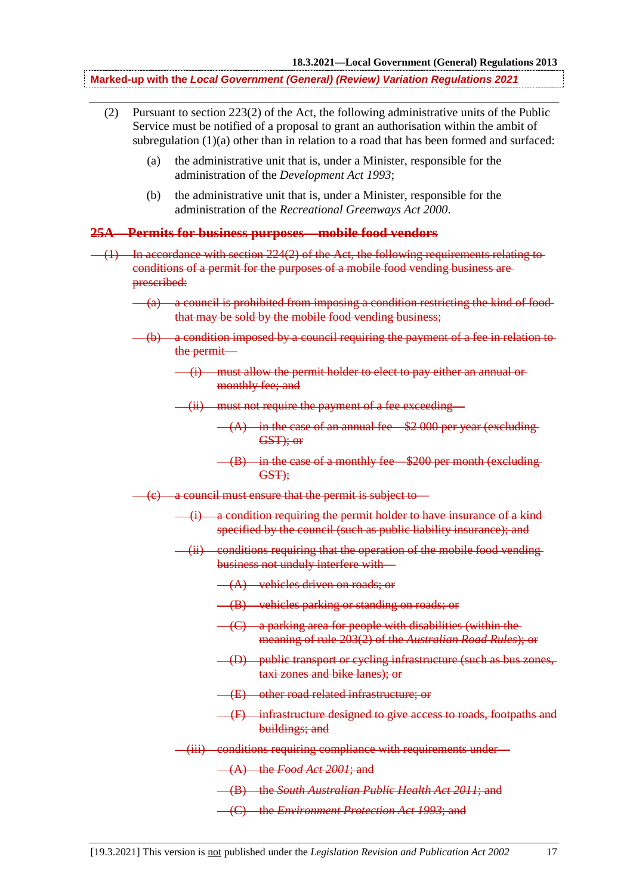- (2) Pursuant to section 223(2) of the Act, the following administrative units of the Public Service must be notified of a proposal to grant an authorisation within the ambit of subregulation  $(1)(a)$  other than in relation to a road that has been formed and surfaced:
	- (a) the administrative unit that is, under a Minister, responsible for the administration of the *Development Act 1993*;
	- (b) the administrative unit that is, under a Minister, responsible for the administration of the *Recreational Greenways Act 2000*.

### **25A—Permits for business purposes—mobile food vendors**

- (1) In accordance with section 224(2) of the Act, the following requirements relating to conditions of a permit for the purposes of a mobile food vending business are prescribed:
	- (a) a council is prohibited from imposing a condition restricting the kind of food that may be sold by the mobile food vending business;
	- (b) a condition imposed by a council requiring the payment of a fee in relation to the permit—
		- (i) must allow the permit holder to elect to pay either an annual or monthly fee; and
		- (ii) must not require the payment of a fee exceeding—
			- $(A)$  in the case of an annual fee  $$2,000$  per year (excluding) GST); or
			- $-(B)$  in the case of a monthly fee  $$200$  per month (excluding-GST);
	- (c) a council must ensure that the permit is subject to—
		- $\frac{d}{dx}$  a condition requiring the permit holder to have insurance of a kindspecified by the council (such as public liability insurance); and
		- (ii) conditions requiring that the operation of the mobile food vending business not unduly interfere with—
			- (A) vehicles driven on roads; or
			- (B) vehicles parking or standing on roads; or
			- (C) a parking area for people with disabilities (within the meaning of rule 203(2) of the *Australian Road Rules*); or
			- (D) public transport or cycling infrastructure (such as bus zones, taxi zones and bike lanes); or
			- (E) other road related infrastructure; or
			- (F) infrastructure designed to give access to roads, footpaths and buildings; and
		- (iii) conditions requiring compliance with requirements under—

(A) the *Food Act 2001*; and

- (B) the *South Australian Public Health Act 2011*; and
- (C) the *Environment Protection Act 1993*; and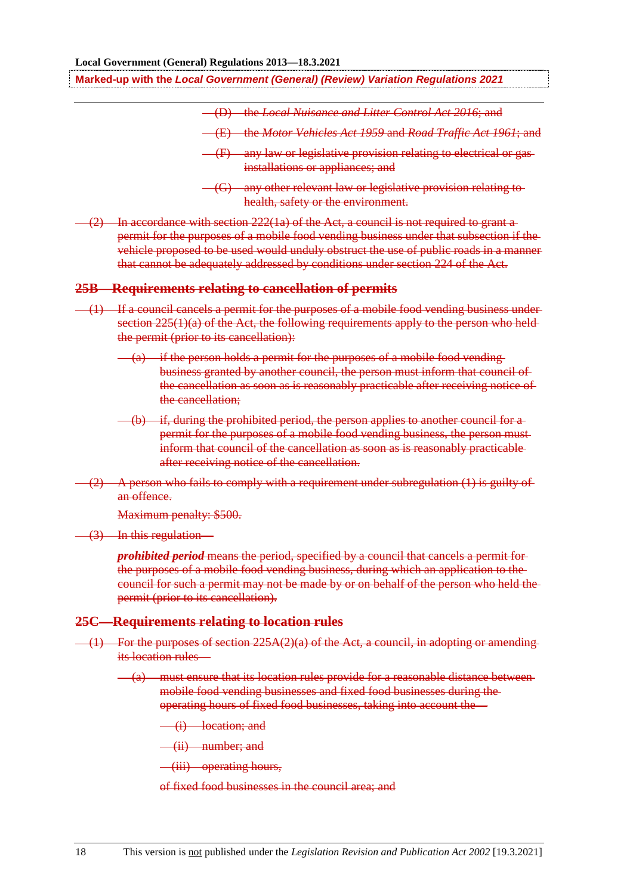- (D) the *Local Nuisance and Litter Control Act 2016*; and
- (E) the *Motor Vehicles Act 1959* and *Road Traffic Act 1961*; and

 $(2)$  In accordance with section 222(1a) of the Act, a council is not required to grant a permit for the purposes of a mobile food vending business under that subsection if the vehicle proposed to be used would unduly obstruct the use of public roads in a manner that cannot be adequately addressed by conditions under section 224 of the Act.

#### **25B—Requirements relating to cancellation of permits**

- (1) If a council cancels a permit for the purposes of a mobile food vending business under section  $225(1)(a)$  of the Act, the following requirements apply to the person who heldthe permit (prior to its cancellation):
	- (a) if the person holds a permit for the purposes of a mobile food vending business granted by another council, the person must inform that council of the cancellation as soon as is reasonably practicable after receiving notice of the cancellation;
	- (b) if, during the prohibited period, the person applies to another council for a permit for the purposes of a mobile food vending business, the person must inform that council of the cancellation as soon as is reasonably practicable after receiving notice of the cancellation.
- $(2)$  A person who fails to comply with a requirement under subregulation  $(1)$  is guilty of an offence.

Maximum penalty: \$500.

(3) In this regulation—

*prohibited period* means the period, specified by a council that cancels a permit for the purposes of a mobile food vending business, during which an application to the council for such a permit may not be made by or on behalf of the person who held the permit (prior to its cancellation).

#### **25C—Requirements relating to location rules**

- $(1)$  For the purposes of section 225A(2)(a) of the Act, a council, in adopting or amending its location rules—
	- (a) must ensure that its location rules provide for a reasonable distance between mobile food vending businesses and fixed food businesses during the operating hours of fixed food businesses, taking into account the—
		- (i) location; and
		- (ii) number; and
		- (iii) operating hours,
		- of fixed food businesses in the council area; and

<sup>(</sup>F) any law or legislative provision relating to electrical or gas installations or appliances; and

<sup>(</sup>G) any other relevant law or legislative provision relating to health, safety or the environment.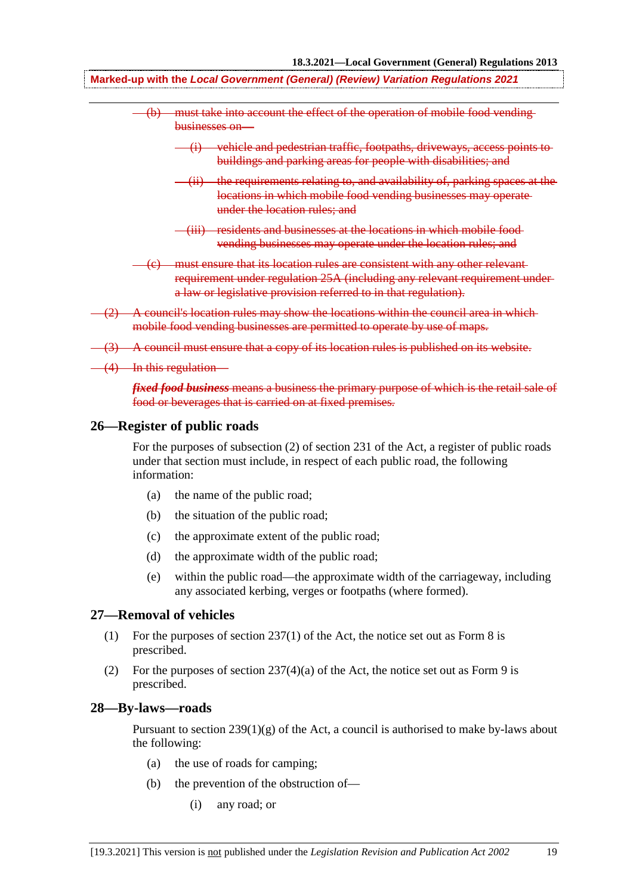- (b) must take into account the effect of the operation of mobile food vending businesses on—
	- (i) vehicle and pedestrian traffic, footpaths, driveways, access points to buildings and parking areas for people with disabilities; and
	- (ii) the requirements relating to, and availability of, parking spaces at the locations in which mobile food vending businesses may operate under the location rules; and
	- (iii) residents and businesses at the locations in which mobile food vending businesses may operate under the location rules; and
- (c) must ensure that its location rules are consistent with any other relevant requirement under regulation 25A (including any relevant requirement under a law or legislative provision referred to in that regulation).
- A council's location rules may show the locations within the council area in whichmobile food vending businesses are permitted to operate by use of maps.
- (3) A council must ensure that a copy of its location rules is published on its website.
- $(4)$  In this regulation-

*fixed food business* means a business the primary purpose of which is the retail sale of food or beverages that is carried on at fixed premises.

#### **26—Register of public roads**

For the purposes of subsection (2) of section 231 of the Act, a register of public roads under that section must include, in respect of each public road, the following information:

- (a) the name of the public road;
- (b) the situation of the public road;
- (c) the approximate extent of the public road;
- (d) the approximate width of the public road;
- (e) within the public road—the approximate width of the carriageway, including any associated kerbing, verges or footpaths (where formed).

#### **27—Removal of vehicles**

- (1) For the purposes of section 237(1) of the Act, the notice set out as Form 8 is prescribed.
- (2) For the purposes of section  $237(4)(a)$  of the Act, the notice set out as Form 9 is prescribed.

#### **28—By-laws—roads**

Pursuant to section  $239(1)(g)$  of the Act, a council is authorised to make by-laws about the following:

- (a) the use of roads for camping;
- (b) the prevention of the obstruction of—
	- (i) any road; or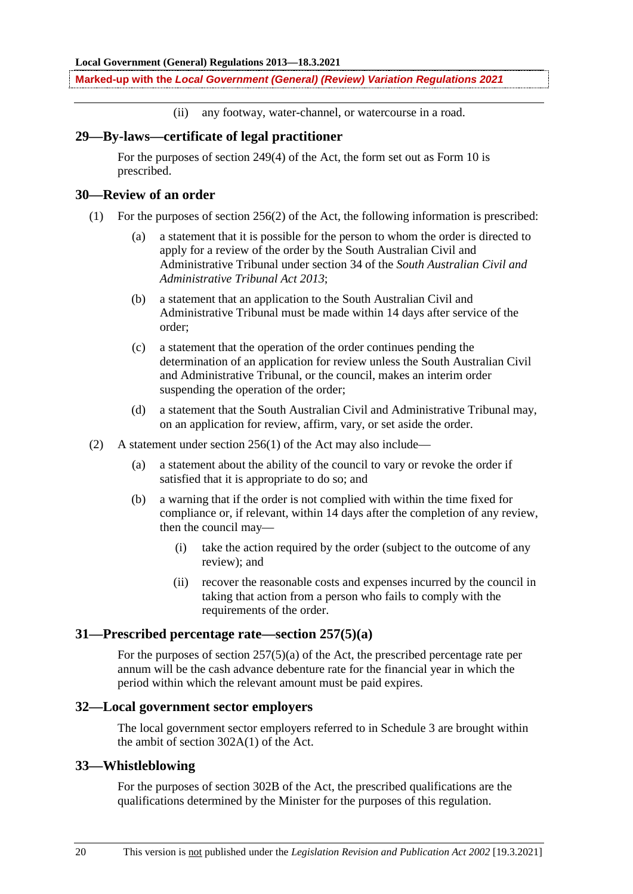(ii) any footway, water-channel, or watercourse in a road.

#### **29—By-laws—certificate of legal practitioner**

For the purposes of section 249(4) of the Act, the form set out as Form 10 is prescribed.

### **30—Review of an order**

- (1) For the purposes of section 256(2) of the Act, the following information is prescribed:
	- (a) a statement that it is possible for the person to whom the order is directed to apply for a review of the order by the South Australian Civil and Administrative Tribunal under section 34 of the *South Australian Civil and Administrative Tribunal Act 2013*;
	- (b) a statement that an application to the South Australian Civil and Administrative Tribunal must be made within 14 days after service of the order;
	- (c) a statement that the operation of the order continues pending the determination of an application for review unless the South Australian Civil and Administrative Tribunal, or the council, makes an interim order suspending the operation of the order;
	- (d) a statement that the South Australian Civil and Administrative Tribunal may, on an application for review, affirm, vary, or set aside the order.
- (2) A statement under section 256(1) of the Act may also include—
	- (a) a statement about the ability of the council to vary or revoke the order if satisfied that it is appropriate to do so; and
	- (b) a warning that if the order is not complied with within the time fixed for compliance or, if relevant, within 14 days after the completion of any review, then the council may—
		- (i) take the action required by the order (subject to the outcome of any review); and
		- (ii) recover the reasonable costs and expenses incurred by the council in taking that action from a person who fails to comply with the requirements of the order.

### **31—Prescribed percentage rate—section 257(5)(a)**

For the purposes of section 257(5)(a) of the Act, the prescribed percentage rate per annum will be the cash advance debenture rate for the financial year in which the period within which the relevant amount must be paid expires.

#### **32—Local government sector employers**

The local government sector employers referred to in Schedule 3 are brought within the ambit of section 302A(1) of the Act.

#### **33—Whistleblowing**

For the purposes of section 302B of the Act, the prescribed qualifications are the qualifications determined by the Minister for the purposes of this regulation.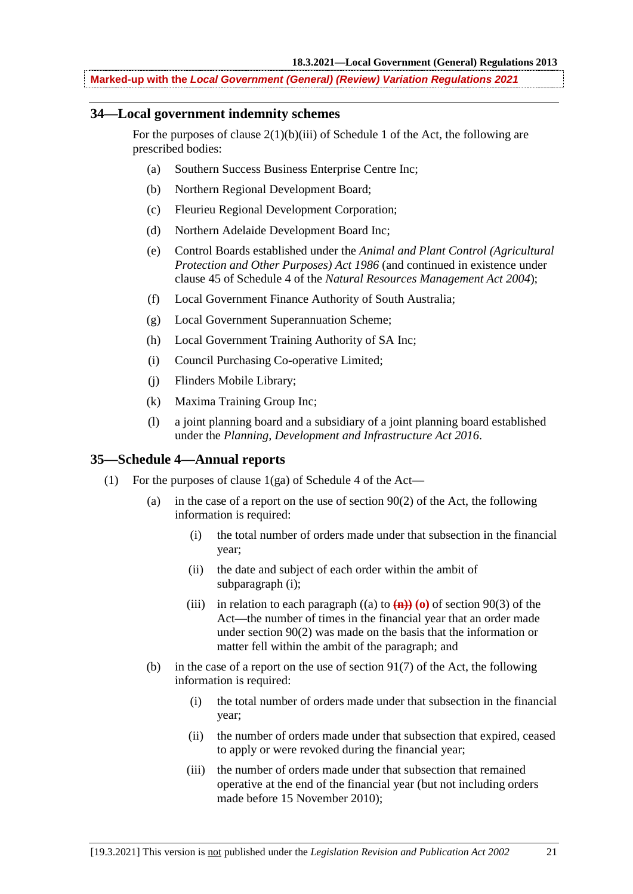### **34—Local government indemnity schemes**

For the purposes of clause  $2(1)(b)(iii)$  of Schedule 1 of the Act, the following are prescribed bodies:

- (a) Southern Success Business Enterprise Centre Inc;
- (b) Northern Regional Development Board;
- (c) Fleurieu Regional Development Corporation;
- (d) Northern Adelaide Development Board Inc;
- (e) Control Boards established under the *Animal and Plant Control (Agricultural Protection and Other Purposes) Act 1986* (and continued in existence under clause 45 of Schedule 4 of the *Natural Resources Management Act 2004*);
- (f) Local Government Finance Authority of South Australia;
- (g) Local Government Superannuation Scheme;
- (h) Local Government Training Authority of SA Inc;
- (i) Council Purchasing Co-operative Limited;
- (j) Flinders Mobile Library;
- (k) Maxima Training Group Inc;
- (l) a joint planning board and a subsidiary of a joint planning board established under the *Planning, Development and Infrastructure Act 2016*.

### **35—Schedule 4—Annual reports**

- (1) For the purposes of clause 1(ga) of Schedule 4 of the Act—
	- (a) in the case of a report on the use of section 90(2) of the Act, the following information is required:
		- (i) the total number of orders made under that subsection in the financial year;
		- (ii) the date and subject of each order within the ambit of subparagraph (i);
		- (iii) in relation to each paragraph  $((a)$  to  $(\mathbf{n})$  $)(\mathbf{o})$  of section 90(3) of the Act—the number of times in the financial year that an order made under section 90(2) was made on the basis that the information or matter fell within the ambit of the paragraph; and
	- (b) in the case of a report on the use of section 91(7) of the Act, the following information is required:
		- (i) the total number of orders made under that subsection in the financial year;
		- (ii) the number of orders made under that subsection that expired, ceased to apply or were revoked during the financial year;
		- (iii) the number of orders made under that subsection that remained operative at the end of the financial year (but not including orders made before 15 November 2010);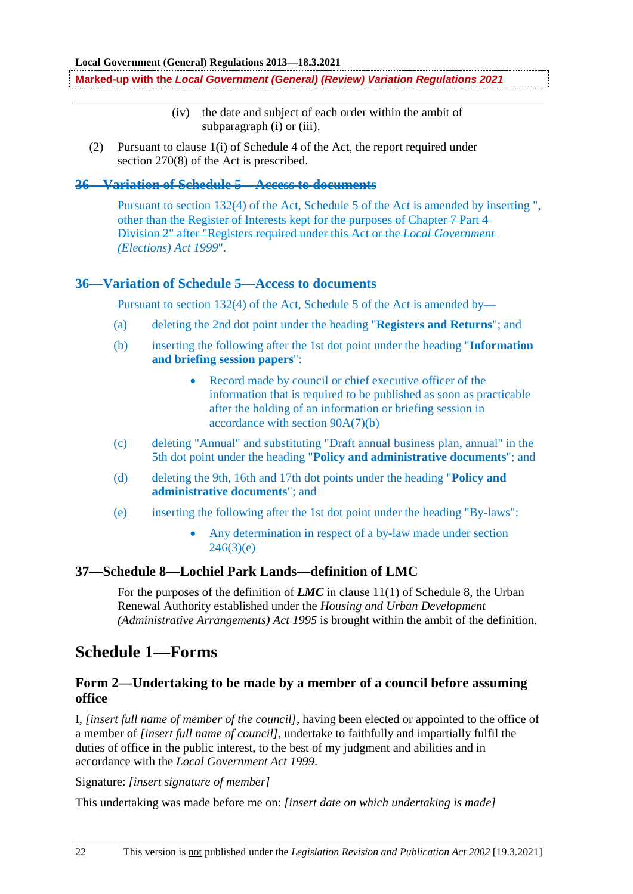- (iv) the date and subject of each order within the ambit of subparagraph (i) or (iii).
- (2) Pursuant to clause 1(i) of Schedule 4 of the Act, the report required under section 270(8) of the Act is prescribed.

### **36—Variation of Schedule 5—Access to documents**

Pursuant to section 132(4) of the Act, Schedule 5 of the Act is amended by inserting ". other than the Register of Interests kept for the purposes of Chapter 7 Part 4 Division 2" after "Registers required under this Act or the *Local Government (Elections) Act 1999*".

#### **36—Variation of Schedule 5—Access to documents**

Pursuant to section 132(4) of the Act, Schedule 5 of the Act is amended by—

- (a) deleting the 2nd dot point under the heading "**Registers and Returns**"; and
- (b) inserting the following after the 1st dot point under the heading "**Information and briefing session papers**":
	- Record made by council or chief executive officer of the information that is required to be published as soon as practicable after the holding of an information or briefing session in accordance with section 90A(7)(b)
- (c) deleting "Annual" and substituting "Draft annual business plan, annual" in the 5th dot point under the heading "**Policy and administrative documents**"; and
- (d) deleting the 9th, 16th and 17th dot points under the heading "**Policy and administrative documents**"; and
- (e) inserting the following after the 1st dot point under the heading "By-laws":
	- Any determination in respect of a by-law made under section  $246(3)(e)$

### **37—Schedule 8—Lochiel Park Lands—definition of LMC**

For the purposes of the definition of *LMC* in clause 11(1) of Schedule 8, the Urban Renewal Authority established under the *Housing and Urban Development (Administrative Arrangements) Act 1995* is brought within the ambit of the definition.

## **Schedule 1—Forms**

### **Form 2—Undertaking to be made by a member of a council before assuming office**

I, *[insert full name of member of the council]*, having been elected or appointed to the office of a member of *[insert full name of council]*, undertake to faithfully and impartially fulfil the duties of office in the public interest, to the best of my judgment and abilities and in accordance with the *Local Government Act 1999*.

Signature: *[insert signature of member]*

This undertaking was made before me on: *[insert date on which undertaking is made]*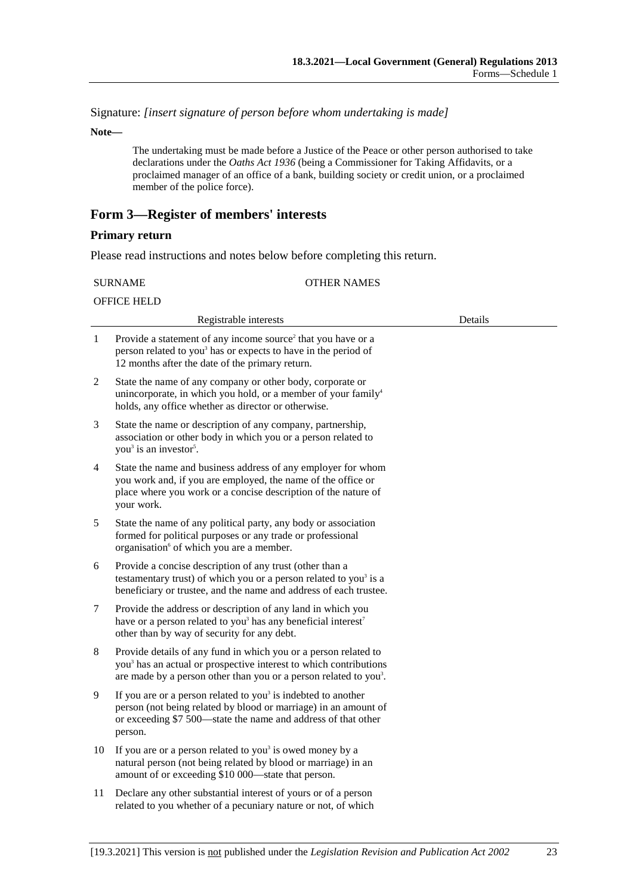Signature: *[insert signature of person before whom undertaking is made]*

**Note—**

The undertaking must be made before a Justice of the Peace or other person authorised to take declarations under the *Oaths Act 1936* (being a Commissioner for Taking Affidavits, or a proclaimed manager of an office of a bank, building society or credit union, or a proclaimed member of the police force).

### **Form 3—Register of members' interests**

#### **Primary return**

Please read instructions and notes below before completing this return.

| <b>SURNAME</b> |  |
|----------------|--|
|----------------|--|

#### OTHER NAMES

| <b>OFFICE HELD</b> |  |
|--------------------|--|
|                    |  |

|                | Registrable interests                                                                                                                                                                                                             | Details |  |
|----------------|-----------------------------------------------------------------------------------------------------------------------------------------------------------------------------------------------------------------------------------|---------|--|
| 1              | Provide a statement of any income source <sup>2</sup> that you have or a<br>person related to you <sup>3</sup> has or expects to have in the period of<br>12 months after the date of the primary return.                         |         |  |
| $\overline{c}$ | State the name of any company or other body, corporate or<br>unincorporate, in which you hold, or a member of your family <sup>4</sup><br>holds, any office whether as director or otherwise.                                     |         |  |
| 3              | State the name or description of any company, partnership,<br>association or other body in which you or a person related to<br>you <sup>3</sup> is an investor <sup>5</sup> .                                                     |         |  |
| 4              | State the name and business address of any employer for whom<br>you work and, if you are employed, the name of the office or<br>place where you work or a concise description of the nature of<br>your work.                      |         |  |
| 5              | State the name of any political party, any body or association<br>formed for political purposes or any trade or professional<br>organisation <sup>6</sup> of which you are a member.                                              |         |  |
| 6              | Provide a concise description of any trust (other than a<br>testamentary trust) of which you or a person related to you <sup>3</sup> is a<br>beneficiary or trustee, and the name and address of each trustee.                    |         |  |
| 7              | Provide the address or description of any land in which you<br>have or a person related to you <sup>3</sup> has any beneficial interest <sup>7</sup><br>other than by way of security for any debt.                               |         |  |
| 8              | Provide details of any fund in which you or a person related to<br>you <sup>3</sup> has an actual or prospective interest to which contributions<br>are made by a person other than you or a person related to you <sup>3</sup> . |         |  |
| 9              | If you are or a person related to you <sup>3</sup> is indebted to another<br>person (not being related by blood or marriage) in an amount of<br>or exceeding \$7 500—state the name and address of that other<br>person.          |         |  |
| 10             | If you are or a person related to you <sup>3</sup> is owed money by a<br>natural person (not being related by blood or marriage) in an<br>amount of or exceeding \$10 000—state that person.                                      |         |  |
| 11             | Declare any other substantial interest of yours or of a person<br>related to you whether of a pecuniary nature or not, of which                                                                                                   |         |  |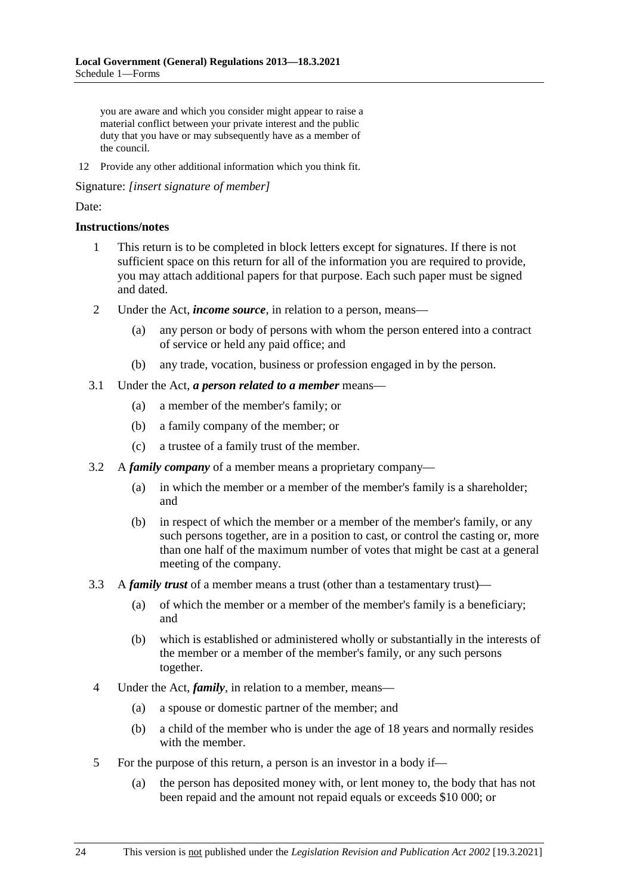you are aware and which you consider might appear to raise a material conflict between your private interest and the public duty that you have or may subsequently have as a member of the council.

12 Provide any other additional information which you think fit.

Signature: *[insert signature of member]*

### Date:

#### **Instructions/notes**

- 1 This return is to be completed in block letters except for signatures. If there is not sufficient space on this return for all of the information you are required to provide, you may attach additional papers for that purpose. Each such paper must be signed and dated.
- 2 Under the Act, *income source*, in relation to a person, means—
	- (a) any person or body of persons with whom the person entered into a contract of service or held any paid office; and
	- (b) any trade, vocation, business or profession engaged in by the person.
- 3.1 Under the Act, *a person related to a member* means—
	- (a) a member of the member's family; or
	- (b) a family company of the member; or
	- (c) a trustee of a family trust of the member.
- 3.2 A *family company* of a member means a proprietary company—
	- (a) in which the member or a member of the member's family is a shareholder; and
	- (b) in respect of which the member or a member of the member's family, or any such persons together, are in a position to cast, or control the casting or, more than one half of the maximum number of votes that might be cast at a general meeting of the company.
- 3.3 A *family trust* of a member means a trust (other than a testamentary trust)—
	- (a) of which the member or a member of the member's family is a beneficiary; and
	- (b) which is established or administered wholly or substantially in the interests of the member or a member of the member's family, or any such persons together.
- 4 Under the Act, *family*, in relation to a member, means—
	- (a) a spouse or domestic partner of the member; and
	- (b) a child of the member who is under the age of 18 years and normally resides with the member.
- 5 For the purpose of this return, a person is an investor in a body if—
	- (a) the person has deposited money with, or lent money to, the body that has not been repaid and the amount not repaid equals or exceeds \$10 000; or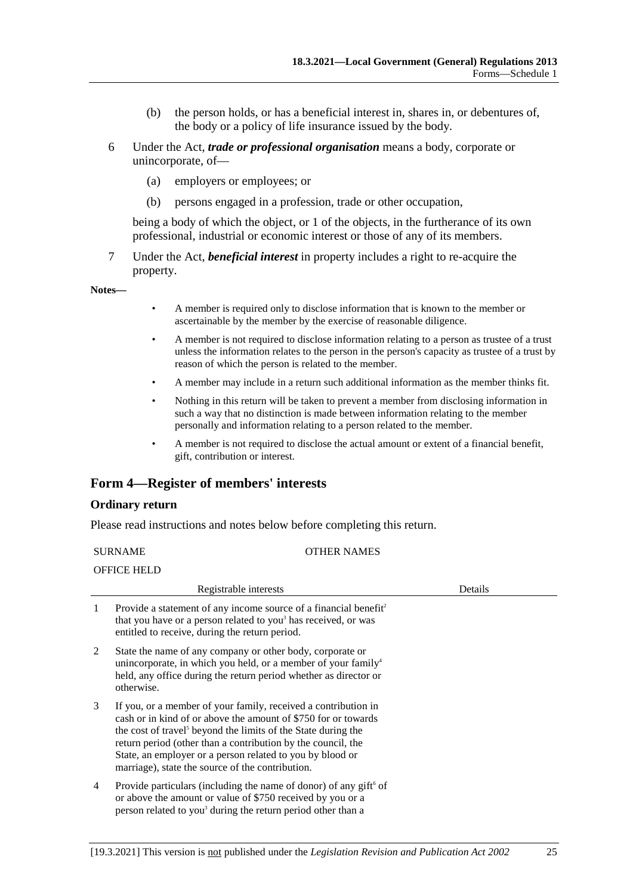- (b) the person holds, or has a beneficial interest in, shares in, or debentures of, the body or a policy of life insurance issued by the body.
- 6 Under the Act, *trade or professional organisation* means a body, corporate or unincorporate, of—
	- (a) employers or employees; or
	- (b) persons engaged in a profession, trade or other occupation,

being a body of which the object, or 1 of the objects, in the furtherance of its own professional, industrial or economic interest or those of any of its members.

7 Under the Act, *beneficial interest* in property includes a right to re-acquire the property.

**Notes—**

- A member is required only to disclose information that is known to the member or ascertainable by the member by the exercise of reasonable diligence.
- A member is not required to disclose information relating to a person as trustee of a trust unless the information relates to the person in the person's capacity as trustee of a trust by reason of which the person is related to the member.
- A member may include in a return such additional information as the member thinks fit.
- Nothing in this return will be taken to prevent a member from disclosing information in such a way that no distinction is made between information relating to the member personally and information relating to a person related to the member.
- A member is not required to disclose the actual amount or extent of a financial benefit, gift, contribution or interest.

### **Form 4—Register of members' interests**

#### **Ordinary return**

Please read instructions and notes below before completing this return.

| <b>SURNAME</b> |                                                                                                                                                                                                                                                                                                                                                                                                | <b>OTHER NAMES</b> |
|----------------|------------------------------------------------------------------------------------------------------------------------------------------------------------------------------------------------------------------------------------------------------------------------------------------------------------------------------------------------------------------------------------------------|--------------------|
|                | <b>OFFICE HELD</b>                                                                                                                                                                                                                                                                                                                                                                             |                    |
|                | Registrable interests                                                                                                                                                                                                                                                                                                                                                                          | Details            |
| 1              | Provide a statement of any income source of a financial benefit <sup>2</sup><br>that you have or a person related to you <sup>3</sup> has received, or was<br>entitled to receive, during the return period.                                                                                                                                                                                   |                    |
| 2              | State the name of any company or other body, corporate or<br>unincorporate, in which you held, or a member of your family <sup>4</sup><br>held, any office during the return period whether as director or<br>otherwise.                                                                                                                                                                       |                    |
| 3              | If you, or a member of your family, received a contribution in<br>cash or in kind of or above the amount of \$750 for or towards<br>the cost of travel <sup>5</sup> beyond the limits of the State during the<br>return period (other than a contribution by the council, the<br>State, an employer or a person related to you by blood or<br>marriage), state the source of the contribution. |                    |
| 4              | Provide particulars (including the name of donor) of any gift <sup>6</sup> of<br>or above the amount or value of \$750 received by you or a<br>person related to you <sup>3</sup> during the return period other than a                                                                                                                                                                        |                    |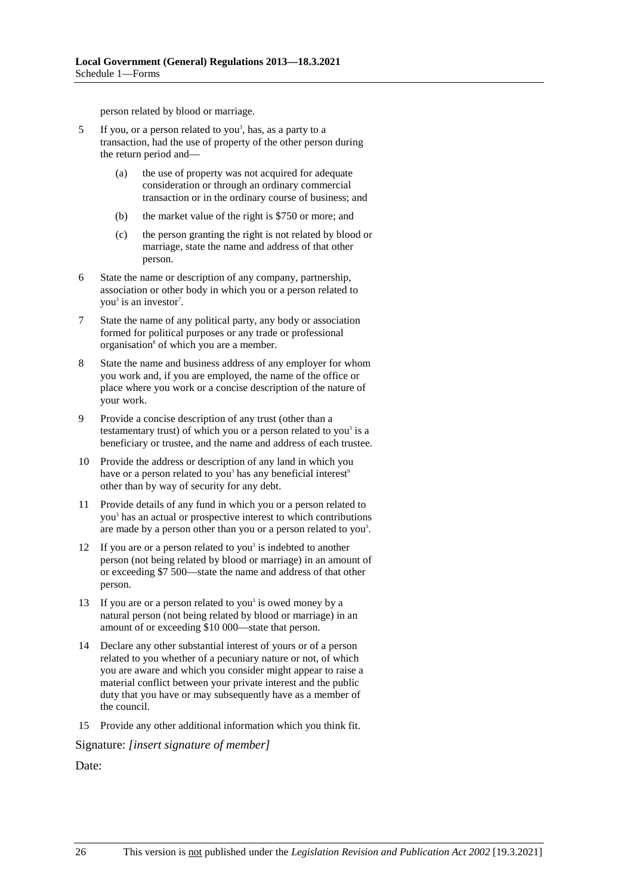person related by blood or marriage.

- 5 If you, or a person related to you<sup>3</sup>, has, as a party to a transaction, had the use of property of the other person during the return period and—
	- (a) the use of property was not acquired for adequate consideration or through an ordinary commercial transaction or in the ordinary course of business; and
	- (b) the market value of the right is \$750 or more; and
	- (c) the person granting the right is not related by blood or marriage, state the name and address of that other person.
- 6 State the name or description of any company, partnership, association or other body in which you or a person related to you<sup>3</sup> is an investor<sup>7</sup>.
- 7 State the name of any political party, any body or association formed for political purposes or any trade or professional organisation<sup>8</sup> of which you are a member.
- 8 State the name and business address of any employer for whom you work and, if you are employed, the name of the office or place where you work or a concise description of the nature of your work.
- 9 Provide a concise description of any trust (other than a testamentary trust) of which you or a person related to you<sup>3</sup> is a beneficiary or trustee, and the name and address of each trustee.
- 10 Provide the address or description of any land in which you have or a person related to you<sup>3</sup> has any beneficial interest<sup>9</sup> other than by way of security for any debt.
- 11 Provide details of any fund in which you or a person related to you3 has an actual or prospective interest to which contributions are made by a person other than you or a person related to you<sup>3</sup>.
- 12 If you are or a person related to you<sup>3</sup> is indebted to another person (not being related by blood or marriage) in an amount of or exceeding \$7 500—state the name and address of that other person.
- 13 If you are or a person related to you<sup>3</sup> is owed money by a natural person (not being related by blood or marriage) in an amount of or exceeding \$10 000—state that person.
- 14 Declare any other substantial interest of yours or of a person related to you whether of a pecuniary nature or not, of which you are aware and which you consider might appear to raise a material conflict between your private interest and the public duty that you have or may subsequently have as a member of the council.
- 15 Provide any other additional information which you think fit.

Signature: *[insert signature of member]*

Date: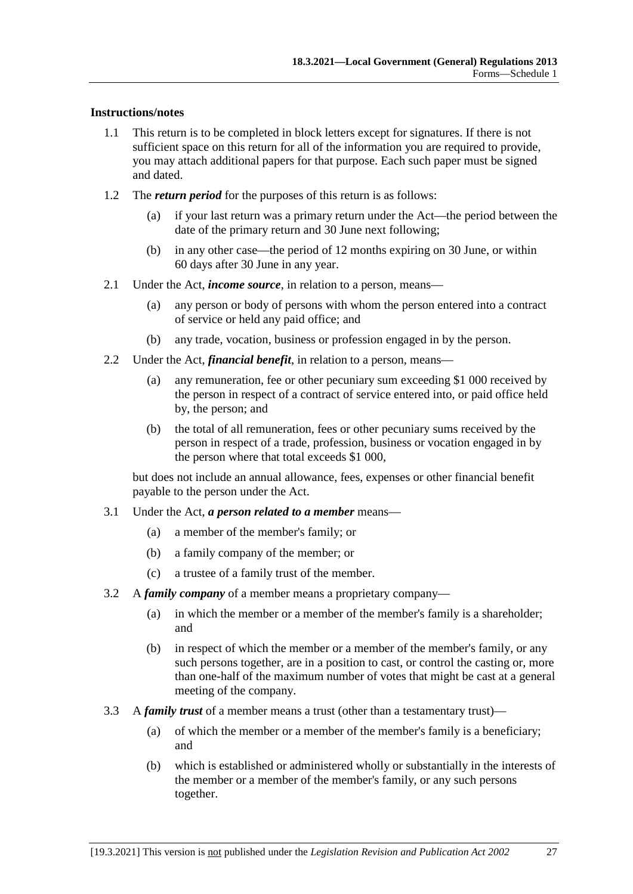### **Instructions/notes**

- 1.1 This return is to be completed in block letters except for signatures. If there is not sufficient space on this return for all of the information you are required to provide, you may attach additional papers for that purpose. Each such paper must be signed and dated.
- 1.2 The *return period* for the purposes of this return is as follows:
	- (a) if your last return was a primary return under the Act—the period between the date of the primary return and 30 June next following;
	- (b) in any other case—the period of 12 months expiring on 30 June, or within 60 days after 30 June in any year.
- 2.1 Under the Act, *income source*, in relation to a person, means—
	- (a) any person or body of persons with whom the person entered into a contract of service or held any paid office; and
	- (b) any trade, vocation, business or profession engaged in by the person.
- 2.2 Under the Act, *financial benefit*, in relation to a person, means—
	- (a) any remuneration, fee or other pecuniary sum exceeding \$1 000 received by the person in respect of a contract of service entered into, or paid office held by, the person; and
	- (b) the total of all remuneration, fees or other pecuniary sums received by the person in respect of a trade, profession, business or vocation engaged in by the person where that total exceeds \$1 000,

but does not include an annual allowance, fees, expenses or other financial benefit payable to the person under the Act.

- 3.1 Under the Act, *a person related to a member* means—
	- (a) a member of the member's family; or
	- (b) a family company of the member; or
	- (c) a trustee of a family trust of the member.
- 3.2 A *family company* of a member means a proprietary company—
	- (a) in which the member or a member of the member's family is a shareholder; and
	- (b) in respect of which the member or a member of the member's family, or any such persons together, are in a position to cast, or control the casting or, more than one-half of the maximum number of votes that might be cast at a general meeting of the company.
- 3.3 A *family trust* of a member means a trust (other than a testamentary trust)—
	- (a) of which the member or a member of the member's family is a beneficiary; and
	- (b) which is established or administered wholly or substantially in the interests of the member or a member of the member's family, or any such persons together.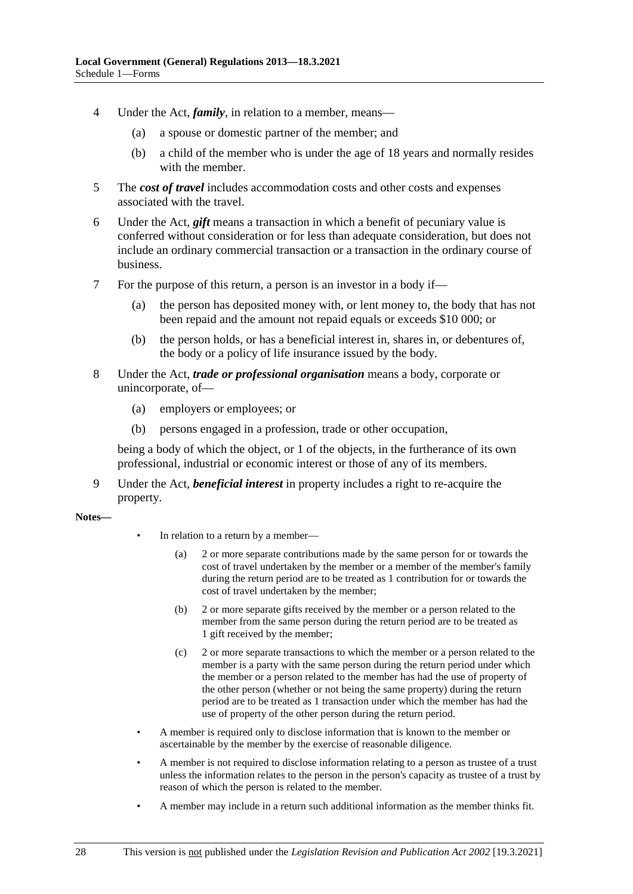- 4 Under the Act, *family*, in relation to a member, means—
	- (a) a spouse or domestic partner of the member; and
	- (b) a child of the member who is under the age of 18 years and normally resides with the member.
- 5 The *cost of travel* includes accommodation costs and other costs and expenses associated with the travel.
- 6 Under the Act, *gift* means a transaction in which a benefit of pecuniary value is conferred without consideration or for less than adequate consideration, but does not include an ordinary commercial transaction or a transaction in the ordinary course of business.
- 7 For the purpose of this return, a person is an investor in a body if—
	- (a) the person has deposited money with, or lent money to, the body that has not been repaid and the amount not repaid equals or exceeds \$10 000; or
	- (b) the person holds, or has a beneficial interest in, shares in, or debentures of, the body or a policy of life insurance issued by the body.
- 8 Under the Act, *trade or professional organisation* means a body, corporate or unincorporate, of—
	- (a) employers or employees; or
	- (b) persons engaged in a profession, trade or other occupation,

being a body of which the object, or 1 of the objects, in the furtherance of its own professional, industrial or economic interest or those of any of its members.

9 Under the Act, *beneficial interest* in property includes a right to re-acquire the property.

**Notes—**

- In relation to a return by a member—
	- (a) 2 or more separate contributions made by the same person for or towards the cost of travel undertaken by the member or a member of the member's family during the return period are to be treated as 1 contribution for or towards the cost of travel undertaken by the member;
	- (b) 2 or more separate gifts received by the member or a person related to the member from the same person during the return period are to be treated as 1 gift received by the member;
	- (c) 2 or more separate transactions to which the member or a person related to the member is a party with the same person during the return period under which the member or a person related to the member has had the use of property of the other person (whether or not being the same property) during the return period are to be treated as 1 transaction under which the member has had the use of property of the other person during the return period.
- A member is required only to disclose information that is known to the member or ascertainable by the member by the exercise of reasonable diligence.
- A member is not required to disclose information relating to a person as trustee of a trust unless the information relates to the person in the person's capacity as trustee of a trust by reason of which the person is related to the member.
- A member may include in a return such additional information as the member thinks fit.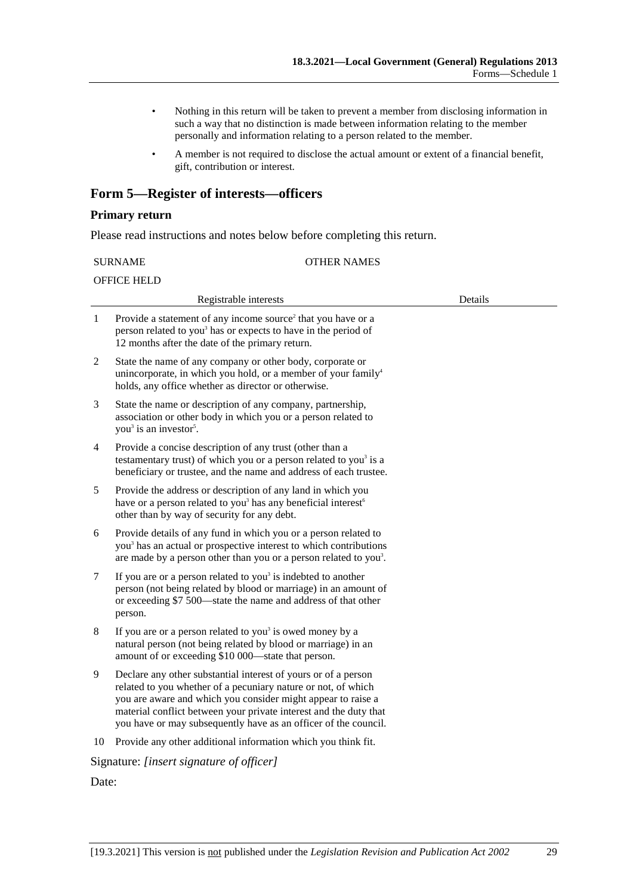- Nothing in this return will be taken to prevent a member from disclosing information in such a way that no distinction is made between information relating to the member personally and information relating to a person related to the member.
- A member is not required to disclose the actual amount or extent of a financial benefit, gift, contribution or interest.

### **Form 5—Register of interests—officers**

#### **Primary return**

Please read instructions and notes below before completing this return.

#### SURNAME OTHER NAMES

OFFICE HELD

|       | Registrable interests                                                                                                                                                                                                                                                                                                                   | Details |
|-------|-----------------------------------------------------------------------------------------------------------------------------------------------------------------------------------------------------------------------------------------------------------------------------------------------------------------------------------------|---------|
| 1     | Provide a statement of any income source <sup>2</sup> that you have or a<br>person related to you <sup>3</sup> has or expects to have in the period of<br>12 months after the date of the primary return.                                                                                                                               |         |
| 2     | State the name of any company or other body, corporate or<br>unincorporate, in which you hold, or a member of your family <sup>4</sup><br>holds, any office whether as director or otherwise.                                                                                                                                           |         |
| 3     | State the name or description of any company, partnership,<br>association or other body in which you or a person related to<br>you <sup>3</sup> is an investor <sup>5</sup> .                                                                                                                                                           |         |
| 4     | Provide a concise description of any trust (other than a<br>testamentary trust) of which you or a person related to you <sup>3</sup> is a<br>beneficiary or trustee, and the name and address of each trustee.                                                                                                                          |         |
| 5     | Provide the address or description of any land in which you<br>have or a person related to you <sup>3</sup> has any beneficial interest <sup>6</sup><br>other than by way of security for any debt.                                                                                                                                     |         |
| 6     | Provide details of any fund in which you or a person related to<br>you <sup>3</sup> has an actual or prospective interest to which contributions<br>are made by a person other than you or a person related to you <sup>3</sup> .                                                                                                       |         |
| 7     | If you are or a person related to you <sup>3</sup> is indebted to another<br>person (not being related by blood or marriage) in an amount of<br>or exceeding \$7 500—state the name and address of that other<br>person.                                                                                                                |         |
| 8     | If you are or a person related to you <sup>3</sup> is owed money by a<br>natural person (not being related by blood or marriage) in an<br>amount of or exceeding \$10 000—state that person.                                                                                                                                            |         |
| 9     | Declare any other substantial interest of yours or of a person<br>related to you whether of a pecuniary nature or not, of which<br>you are aware and which you consider might appear to raise a<br>material conflict between your private interest and the duty that<br>you have or may subsequently have as an officer of the council. |         |
| 10    | Provide any other additional information which you think fit.                                                                                                                                                                                                                                                                           |         |
|       | Signature: [insert signature of officer]                                                                                                                                                                                                                                                                                                |         |
| Date: |                                                                                                                                                                                                                                                                                                                                         |         |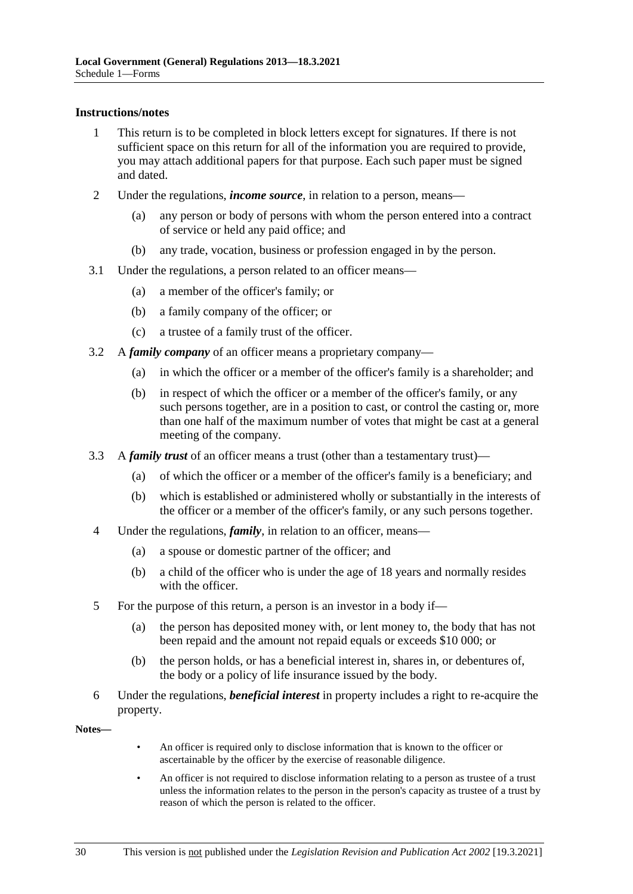#### **Instructions/notes**

- 1 This return is to be completed in block letters except for signatures. If there is not sufficient space on this return for all of the information you are required to provide, you may attach additional papers for that purpose. Each such paper must be signed and dated.
- 2 Under the regulations, *income source*, in relation to a person, means—
	- (a) any person or body of persons with whom the person entered into a contract of service or held any paid office; and
	- (b) any trade, vocation, business or profession engaged in by the person.
- 3.1 Under the regulations, a person related to an officer means—
	- (a) a member of the officer's family; or
	- (b) a family company of the officer; or
	- (c) a trustee of a family trust of the officer.
- 3.2 A *family company* of an officer means a proprietary company—
	- (a) in which the officer or a member of the officer's family is a shareholder; and
	- (b) in respect of which the officer or a member of the officer's family, or any such persons together, are in a position to cast, or control the casting or, more than one half of the maximum number of votes that might be cast at a general meeting of the company.
- 3.3 A *family trust* of an officer means a trust (other than a testamentary trust)—
	- (a) of which the officer or a member of the officer's family is a beneficiary; and
	- (b) which is established or administered wholly or substantially in the interests of the officer or a member of the officer's family, or any such persons together.
- 4 Under the regulations, *family*, in relation to an officer, means—
	- (a) a spouse or domestic partner of the officer; and
	- (b) a child of the officer who is under the age of 18 years and normally resides with the officer.
- 5 For the purpose of this return, a person is an investor in a body if—
	- (a) the person has deposited money with, or lent money to, the body that has not been repaid and the amount not repaid equals or exceeds \$10 000; or
	- (b) the person holds, or has a beneficial interest in, shares in, or debentures of, the body or a policy of life insurance issued by the body.
- 6 Under the regulations, *beneficial interest* in property includes a right to re-acquire the property.

**Notes—**

- An officer is required only to disclose information that is known to the officer or ascertainable by the officer by the exercise of reasonable diligence.
- An officer is not required to disclose information relating to a person as trustee of a trust unless the information relates to the person in the person's capacity as trustee of a trust by reason of which the person is related to the officer.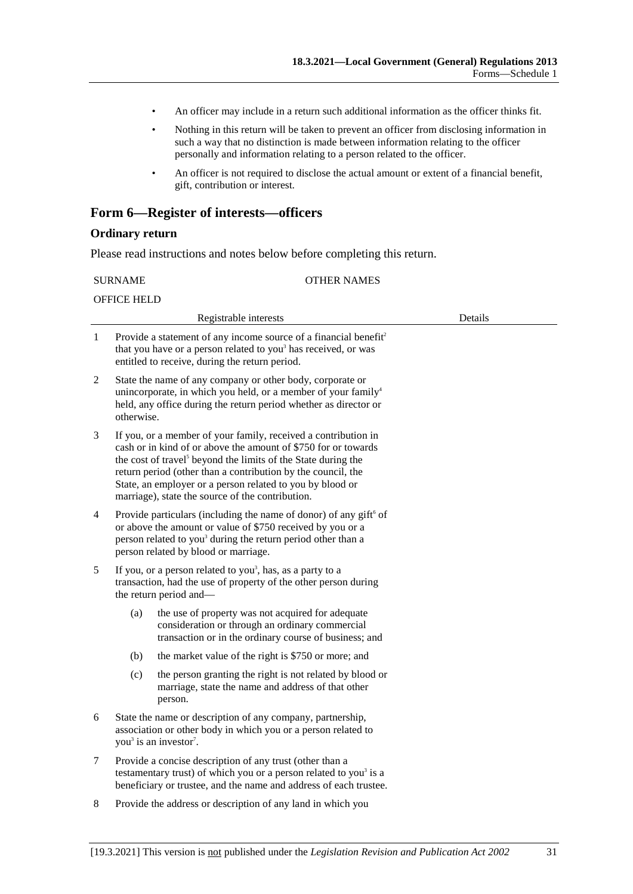- An officer may include in a return such additional information as the officer thinks fit.
- Nothing in this return will be taken to prevent an officer from disclosing information in such a way that no distinction is made between information relating to the officer personally and information relating to a person related to the officer.
- An officer is not required to disclose the actual amount or extent of a financial benefit, gift, contribution or interest.

### **Form 6—Register of interests—officers**

#### **Ordinary return**

Please read instructions and notes below before completing this return.

| <b>SURNAME</b>                                                                                                                                                                                                                                                                                                                                                                                      |                                                                                                                                                                                                                | <b>OTHER NAMES</b>                                                                                                                                                                                           |         |
|-----------------------------------------------------------------------------------------------------------------------------------------------------------------------------------------------------------------------------------------------------------------------------------------------------------------------------------------------------------------------------------------------------|----------------------------------------------------------------------------------------------------------------------------------------------------------------------------------------------------------------|--------------------------------------------------------------------------------------------------------------------------------------------------------------------------------------------------------------|---------|
| <b>OFFICE HELD</b>                                                                                                                                                                                                                                                                                                                                                                                  |                                                                                                                                                                                                                |                                                                                                                                                                                                              |         |
|                                                                                                                                                                                                                                                                                                                                                                                                     |                                                                                                                                                                                                                | Registrable interests                                                                                                                                                                                        | Details |
| 1                                                                                                                                                                                                                                                                                                                                                                                                   |                                                                                                                                                                                                                | Provide a statement of any income source of a financial benefit <sup>2</sup><br>that you have or a person related to you <sup>3</sup> has received, or was<br>entitled to receive, during the return period. |         |
| 2                                                                                                                                                                                                                                                                                                                                                                                                   | otherwise.                                                                                                                                                                                                     | State the name of any company or other body, corporate or<br>unincorporate, in which you held, or a member of your family <sup>4</sup><br>held, any office during the return period whether as director or   |         |
| If you, or a member of your family, received a contribution in<br>3<br>cash or in kind of or above the amount of \$750 for or towards<br>the cost of travel <sup>5</sup> beyond the limits of the State during the<br>return period (other than a contribution by the council, the<br>State, an employer or a person related to you by blood or<br>marriage), state the source of the contribution. |                                                                                                                                                                                                                |                                                                                                                                                                                                              |         |
| Provide particulars (including the name of donor) of any gift <sup>6</sup> of<br>$\overline{4}$<br>or above the amount or value of \$750 received by you or a<br>person related to you <sup>3</sup> during the return period other than a<br>person related by blood or marriage.                                                                                                                   |                                                                                                                                                                                                                |                                                                                                                                                                                                              |         |
| If you, or a person related to you <sup>3</sup> , has, as a party to a<br>5<br>transaction, had the use of property of the other person during<br>the return period and-                                                                                                                                                                                                                            |                                                                                                                                                                                                                |                                                                                                                                                                                                              |         |
|                                                                                                                                                                                                                                                                                                                                                                                                     | (a)                                                                                                                                                                                                            | the use of property was not acquired for adequate<br>consideration or through an ordinary commercial<br>transaction or in the ordinary course of business; and                                               |         |
|                                                                                                                                                                                                                                                                                                                                                                                                     | (b)                                                                                                                                                                                                            | the market value of the right is \$750 or more; and                                                                                                                                                          |         |
|                                                                                                                                                                                                                                                                                                                                                                                                     | (c)                                                                                                                                                                                                            | the person granting the right is not related by blood or<br>marriage, state the name and address of that other<br>person.                                                                                    |         |
| 6                                                                                                                                                                                                                                                                                                                                                                                                   | State the name or description of any company, partnership,<br>association or other body in which you or a person related to<br>you <sup>3</sup> is an investor <sup>7</sup> .                                  |                                                                                                                                                                                                              |         |
| 7                                                                                                                                                                                                                                                                                                                                                                                                   | Provide a concise description of any trust (other than a<br>testamentary trust) of which you or a person related to you <sup>3</sup> is a<br>beneficiary or trustee, and the name and address of each trustee. |                                                                                                                                                                                                              |         |
| 8<br>Provide the address or description of any land in which you                                                                                                                                                                                                                                                                                                                                    |                                                                                                                                                                                                                |                                                                                                                                                                                                              |         |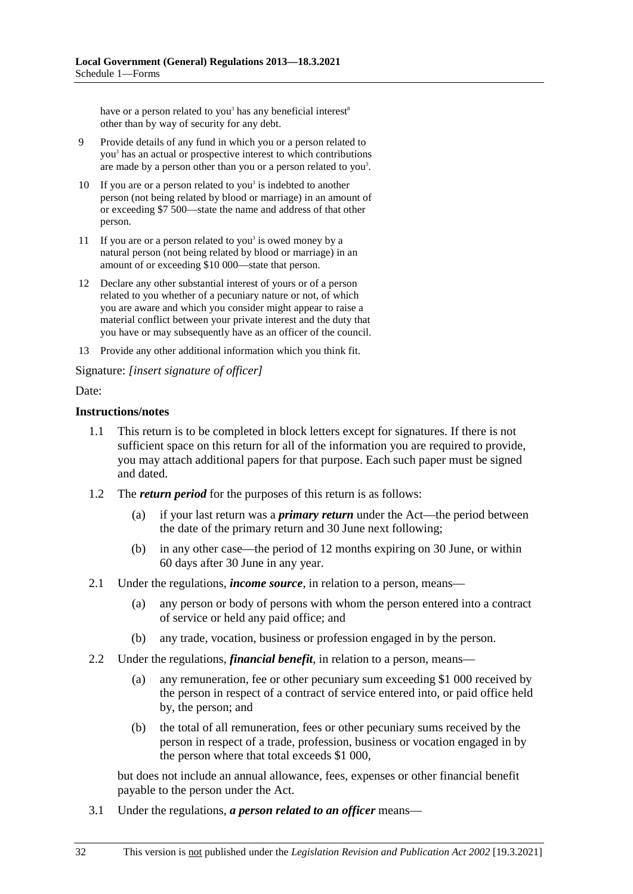have or a person related to you<sup>3</sup> has any beneficial interest<sup>8</sup> other than by way of security for any debt.

- 9 Provide details of any fund in which you or a person related to you3 has an actual or prospective interest to which contributions are made by a person other than you or a person related to you<sup>3</sup>.
- 10 If you are or a person related to you<sup>3</sup> is indebted to another person (not being related by blood or marriage) in an amount of or exceeding \$7 500—state the name and address of that other person.
- 11 If you are or a person related to you<sup>3</sup> is owed money by a natural person (not being related by blood or marriage) in an amount of or exceeding \$10 000—state that person.
- 12 Declare any other substantial interest of yours or of a person related to you whether of a pecuniary nature or not, of which you are aware and which you consider might appear to raise a material conflict between your private interest and the duty that you have or may subsequently have as an officer of the council.
- 13 Provide any other additional information which you think fit.

Signature: *[insert signature of officer]*

#### Date:

#### **Instructions/notes**

- 1.1 This return is to be completed in block letters except for signatures. If there is not sufficient space on this return for all of the information you are required to provide, you may attach additional papers for that purpose. Each such paper must be signed and dated.
- 1.2 The *return period* for the purposes of this return is as follows:
	- (a) if your last return was a *primary return* under the Act—the period between the date of the primary return and 30 June next following;
	- (b) in any other case—the period of 12 months expiring on 30 June, or within 60 days after 30 June in any year.
- 2.1 Under the regulations, *income source*, in relation to a person, means—
	- (a) any person or body of persons with whom the person entered into a contract of service or held any paid office; and
	- (b) any trade, vocation, business or profession engaged in by the person.
- 2.2 Under the regulations, *financial benefit*, in relation to a person, means—
	- (a) any remuneration, fee or other pecuniary sum exceeding \$1 000 received by the person in respect of a contract of service entered into, or paid office held by, the person; and
	- (b) the total of all remuneration, fees or other pecuniary sums received by the person in respect of a trade, profession, business or vocation engaged in by the person where that total exceeds \$1 000,

but does not include an annual allowance, fees, expenses or other financial benefit payable to the person under the Act.

3.1 Under the regulations, *a person related to an officer* means—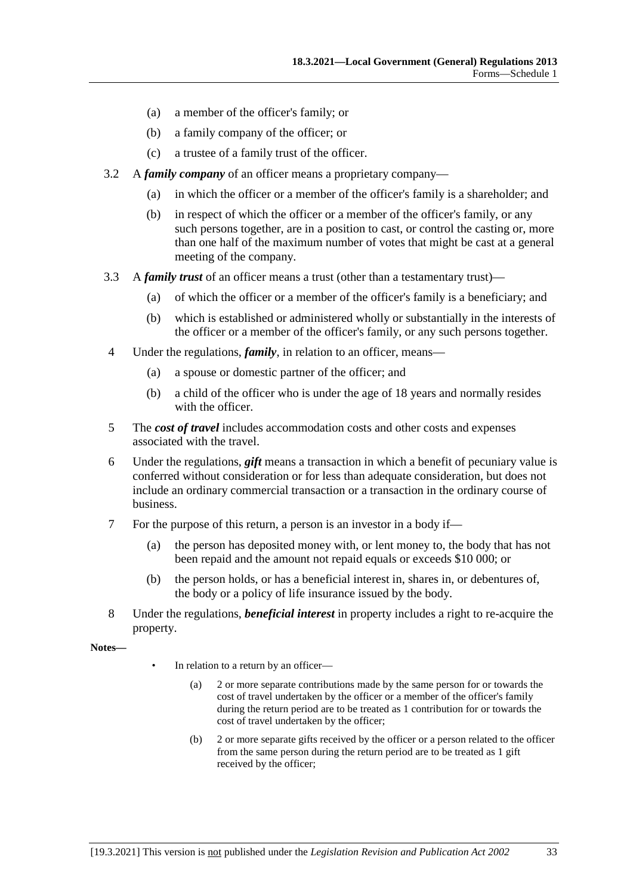- (a) a member of the officer's family; or
- (b) a family company of the officer; or
- (c) a trustee of a family trust of the officer.
- 3.2 A *family company* of an officer means a proprietary company—
	- (a) in which the officer or a member of the officer's family is a shareholder; and
	- (b) in respect of which the officer or a member of the officer's family, or any such persons together, are in a position to cast, or control the casting or, more than one half of the maximum number of votes that might be cast at a general meeting of the company.
- 3.3 A *family trust* of an officer means a trust (other than a testamentary trust)—
	- (a) of which the officer or a member of the officer's family is a beneficiary; and
	- (b) which is established or administered wholly or substantially in the interests of the officer or a member of the officer's family, or any such persons together.
- 4 Under the regulations, *family*, in relation to an officer, means—
	- (a) a spouse or domestic partner of the officer; and
	- (b) a child of the officer who is under the age of 18 years and normally resides with the officer.
- 5 The *cost of travel* includes accommodation costs and other costs and expenses associated with the travel.
- 6 Under the regulations, *gift* means a transaction in which a benefit of pecuniary value is conferred without consideration or for less than adequate consideration, but does not include an ordinary commercial transaction or a transaction in the ordinary course of business.
- 7 For the purpose of this return, a person is an investor in a body if—
	- (a) the person has deposited money with, or lent money to, the body that has not been repaid and the amount not repaid equals or exceeds \$10 000; or
	- (b) the person holds, or has a beneficial interest in, shares in, or debentures of, the body or a policy of life insurance issued by the body.
- 8 Under the regulations, *beneficial interest* in property includes a right to re-acquire the property.

**Notes—**

- In relation to a return by an officer-
	- (a) 2 or more separate contributions made by the same person for or towards the cost of travel undertaken by the officer or a member of the officer's family during the return period are to be treated as 1 contribution for or towards the cost of travel undertaken by the officer;
	- (b) 2 or more separate gifts received by the officer or a person related to the officer from the same person during the return period are to be treated as 1 gift received by the officer;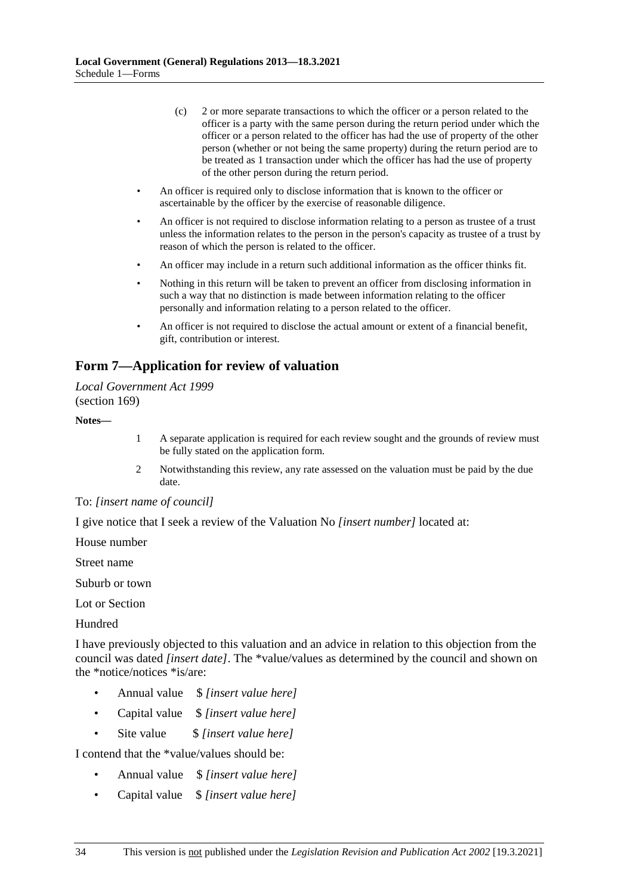- (c) 2 or more separate transactions to which the officer or a person related to the officer is a party with the same person during the return period under which the officer or a person related to the officer has had the use of property of the other person (whether or not being the same property) during the return period are to be treated as 1 transaction under which the officer has had the use of property of the other person during the return period.
- An officer is required only to disclose information that is known to the officer or ascertainable by the officer by the exercise of reasonable diligence.
- An officer is not required to disclose information relating to a person as trustee of a trust unless the information relates to the person in the person's capacity as trustee of a trust by reason of which the person is related to the officer.
- An officer may include in a return such additional information as the officer thinks fit.
- Nothing in this return will be taken to prevent an officer from disclosing information in such a way that no distinction is made between information relating to the officer personally and information relating to a person related to the officer.
- An officer is not required to disclose the actual amount or extent of a financial benefit, gift, contribution or interest.

### **Form 7—Application for review of valuation**

#### *Local Government Act 1999* (section 169)

#### **Notes—**

- 1 A separate application is required for each review sought and the grounds of review must be fully stated on the application form.
- 2 Notwithstanding this review, any rate assessed on the valuation must be paid by the due date.

### To: *[insert name of council]*

I give notice that I seek a review of the Valuation No *[insert number]* located at:

House number

Street name

Suburb or town

Lot or Section

Hundred

I have previously objected to this valuation and an advice in relation to this objection from the council was dated *[insert date]*. The \*value/values as determined by the council and shown on the \*notice/notices \*is/are:

- Annual value \$ *[insert value here]*
- Capital value \$ *[insert value here]*
- Site value \$ *[insert value here]*

I contend that the \*value/values should be:

- Annual value \$ *[insert value here]*
- Capital value \$ *[insert value here]*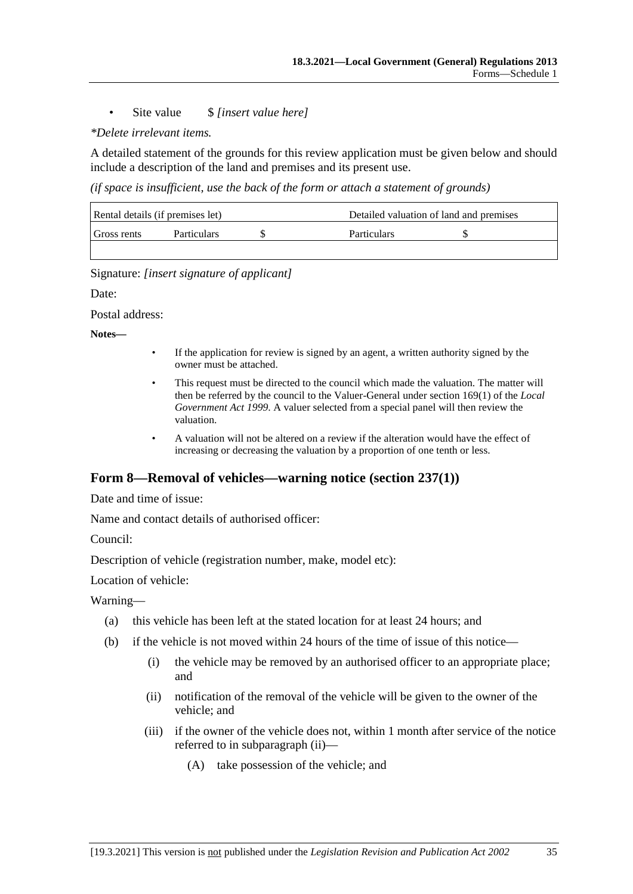### • Site value \$ *[insert value here]*

### *\*Delete irrelevant items.*

A detailed statement of the grounds for this review application must be given below and should include a description of the land and premises and its present use.

*(if space is insufficient, use the back of the form or attach a statement of grounds)*

| Rental details (if premises let) |                    |  | Detailed valuation of land and premises |  |
|----------------------------------|--------------------|--|-----------------------------------------|--|
| Gross rents                      | <b>Particulars</b> |  | <b>Particulars</b>                      |  |
|                                  |                    |  |                                         |  |

Signature: *[insert signature of applicant]*

Date:

Postal address:

**Notes—**

- If the application for review is signed by an agent, a written authority signed by the owner must be attached.
- This request must be directed to the council which made the valuation. The matter will then be referred by the council to the Valuer-General under section 169(1) of the *Local Government Act 1999*. A valuer selected from a special panel will then review the valuation.
- A valuation will not be altered on a review if the alteration would have the effect of increasing or decreasing the valuation by a proportion of one tenth or less.

### **Form 8—Removal of vehicles—warning notice (section 237(1))**

Date and time of issue:

Name and contact details of authorised officer:

Council:

Description of vehicle (registration number, make, model etc):

Location of vehicle:

Warning—

- (a) this vehicle has been left at the stated location for at least 24 hours; and
- (b) if the vehicle is not moved within 24 hours of the time of issue of this notice—
	- (i) the vehicle may be removed by an authorised officer to an appropriate place; and
	- (ii) notification of the removal of the vehicle will be given to the owner of the vehicle; and
	- (iii) if the owner of the vehicle does not, within 1 month after service of the notice referred to in subparagraph (ii)—
		- (A) take possession of the vehicle; and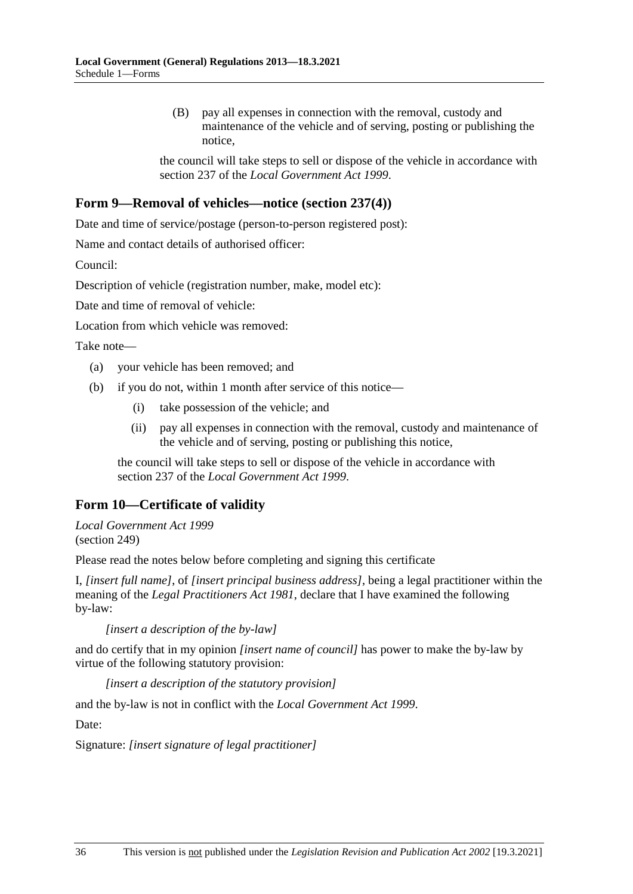(B) pay all expenses in connection with the removal, custody and maintenance of the vehicle and of serving, posting or publishing the notice,

the council will take steps to sell or dispose of the vehicle in accordance with section 237 of the *Local Government Act 1999*.

### **Form 9—Removal of vehicles—notice (section 237(4))**

Date and time of service/postage (person-to-person registered post):

Name and contact details of authorised officer:

Council:

Description of vehicle (registration number, make, model etc):

Date and time of removal of vehicle:

Location from which vehicle was removed:

Take note—

- (a) your vehicle has been removed; and
- (b) if you do not, within 1 month after service of this notice—
	- (i) take possession of the vehicle; and
	- (ii) pay all expenses in connection with the removal, custody and maintenance of the vehicle and of serving, posting or publishing this notice,

the council will take steps to sell or dispose of the vehicle in accordance with section 237 of the *Local Government Act 1999*.

### **Form 10—Certificate of validity**

*Local Government Act 1999* (section 249)

Please read the notes below before completing and signing this certificate

I, *[insert full name]*, of *[insert principal business address]*, being a legal practitioner within the meaning of the *Legal Practitioners Act 1981*, declare that I have examined the following by-law:

*[insert a description of the by-law]*

and do certify that in my opinion *[insert name of council]* has power to make the by-law by virtue of the following statutory provision:

*[insert a description of the statutory provision]*

and the by-law is not in conflict with the *Local Government Act 1999*.

Date:

Signature: *[insert signature of legal practitioner]*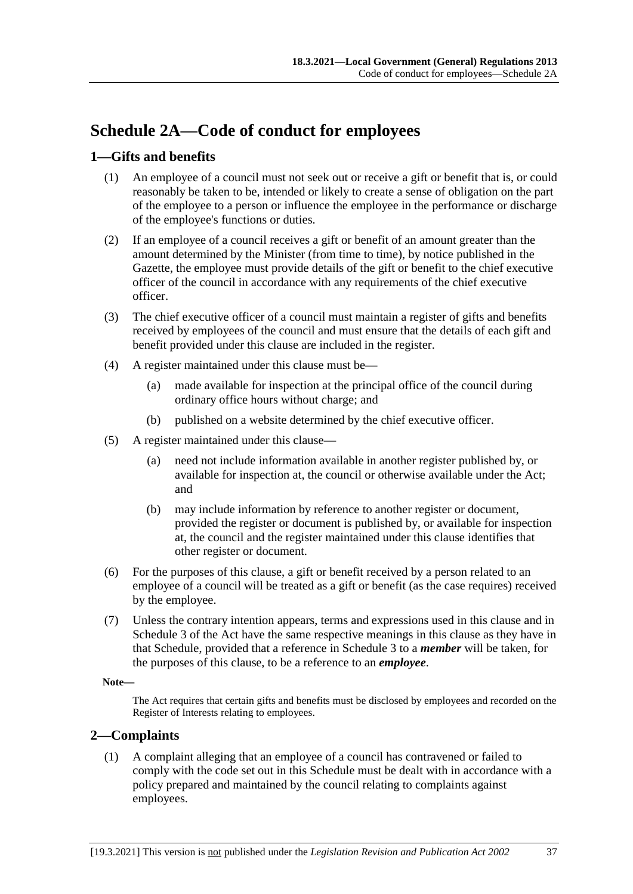# **Schedule 2A—Code of conduct for employees**

### **1—Gifts and benefits**

- (1) An employee of a council must not seek out or receive a gift or benefit that is, or could reasonably be taken to be, intended or likely to create a sense of obligation on the part of the employee to a person or influence the employee in the performance or discharge of the employee's functions or duties.
- (2) If an employee of a council receives a gift or benefit of an amount greater than the amount determined by the Minister (from time to time), by notice published in the Gazette, the employee must provide details of the gift or benefit to the chief executive officer of the council in accordance with any requirements of the chief executive officer.
- (3) The chief executive officer of a council must maintain a register of gifts and benefits received by employees of the council and must ensure that the details of each gift and benefit provided under this clause are included in the register.
- (4) A register maintained under this clause must be—
	- (a) made available for inspection at the principal office of the council during ordinary office hours without charge; and
	- (b) published on a website determined by the chief executive officer.
- (5) A register maintained under this clause—
	- (a) need not include information available in another register published by, or available for inspection at, the council or otherwise available under the Act; and
	- (b) may include information by reference to another register or document, provided the register or document is published by, or available for inspection at, the council and the register maintained under this clause identifies that other register or document.
- (6) For the purposes of this clause, a gift or benefit received by a person related to an employee of a council will be treated as a gift or benefit (as the case requires) received by the employee.
- (7) Unless the contrary intention appears, terms and expressions used in this clause and in Schedule 3 of the Act have the same respective meanings in this clause as they have in that Schedule, provided that a reference in Schedule 3 to a *member* will be taken, for the purposes of this clause, to be a reference to an *employee*.

### **Note—**

The Act requires that certain gifts and benefits must be disclosed by employees and recorded on the Register of Interests relating to employees.

### **2—Complaints**

(1) A complaint alleging that an employee of a council has contravened or failed to comply with the code set out in this Schedule must be dealt with in accordance with a policy prepared and maintained by the council relating to complaints against employees.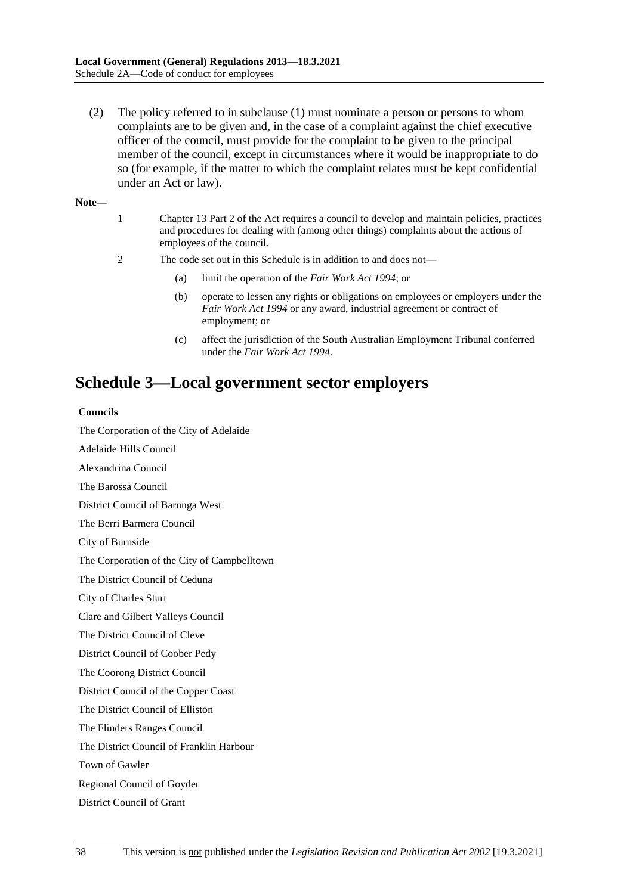(2) The policy referred to in subclause (1) must nominate a person or persons to whom complaints are to be given and, in the case of a complaint against the chief executive officer of the council, must provide for the complaint to be given to the principal member of the council, except in circumstances where it would be inappropriate to do so (for example, if the matter to which the complaint relates must be kept confidential under an Act or law).

**Note—**

- 1 Chapter 13 Part 2 of the Act requires a council to develop and maintain policies, practices and procedures for dealing with (among other things) complaints about the actions of employees of the council.
- 2 The code set out in this Schedule is in addition to and does not—
	- (a) limit the operation of the *Fair Work Act 1994*; or
	- (b) operate to lessen any rights or obligations on employees or employers under the *Fair Work Act 1994* or any award, industrial agreement or contract of employment; or
	- (c) affect the jurisdiction of the South Australian Employment Tribunal conferred under the *Fair Work Act 1994*.

# **Schedule 3—Local government sector employers**

#### **Councils**

The Corporation of the City of Adelaide

Adelaide Hills Council

Alexandrina Council

The Barossa Council

District Council of Barunga West

The Berri Barmera Council

City of Burnside

The Corporation of the City of Campbelltown

The District Council of Ceduna

City of Charles Sturt

Clare and Gilbert Valleys Council

The District Council of Cleve

District Council of Coober Pedy

The Coorong District Council

District Council of the Copper Coast

The District Council of Elliston

The Flinders Ranges Council

The District Council of Franklin Harbour

Town of Gawler

Regional Council of Goyder

District Council of Grant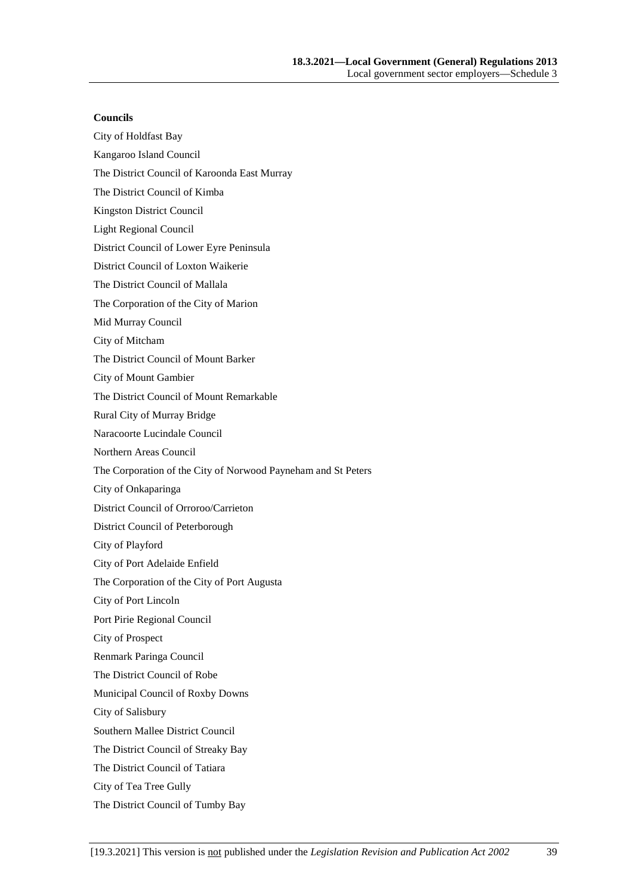#### **Councils**

- City of Holdfast Bay
- Kangaroo Island Council
- The District Council of Karoonda East Murray
- The District Council of Kimba
- Kingston District Council
- Light Regional Council
- District Council of Lower Eyre Peninsula
- District Council of Loxton Waikerie
- The District Council of Mallala
- The Corporation of the City of Marion
- Mid Murray Council
- City of Mitcham
- The District Council of Mount Barker
- City of Mount Gambier
- The District Council of Mount Remarkable
- Rural City of Murray Bridge
- Naracoorte Lucindale Council
- Northern Areas Council
- The Corporation of the City of Norwood Payneham and St Peters
- City of Onkaparinga
- District Council of Orroroo/Carrieton
- District Council of Peterborough
- City of Playford
- City of Port Adelaide Enfield
- The Corporation of the City of Port Augusta
- City of Port Lincoln
- Port Pirie Regional Council
- City of Prospect
- Renmark Paringa Council
- The District Council of Robe
- Municipal Council of Roxby Downs
- City of Salisbury
- Southern Mallee District Council
- The District Council of Streaky Bay
- The District Council of Tatiara
- City of Tea Tree Gully
- The District Council of Tumby Bay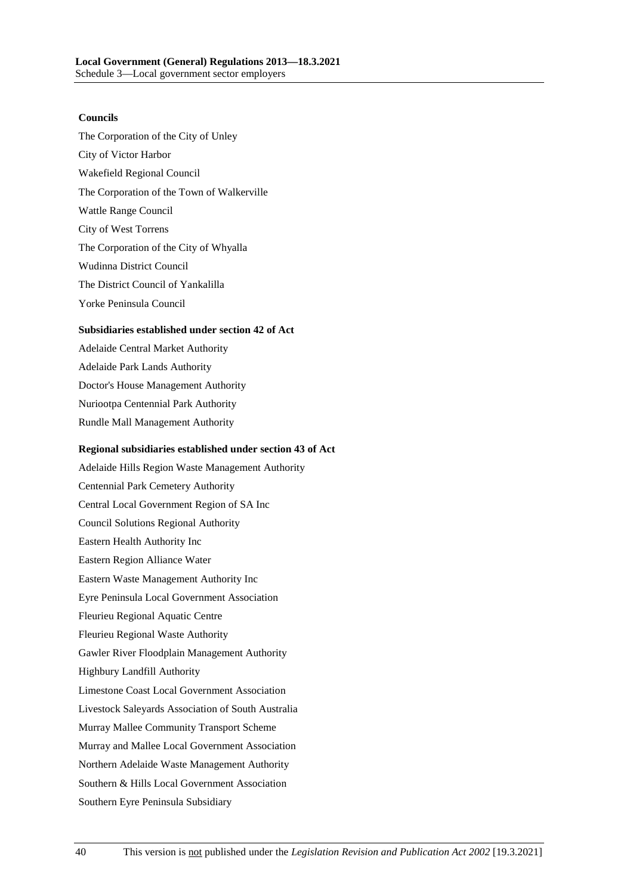#### **Councils**

- The Corporation of the City of Unley City of Victor Harbor Wakefield Regional Council The Corporation of the Town of Walkerville Wattle Range Council City of West Torrens The Corporation of the City of Whyalla Wudinna District Council The District Council of Yankalilla
- Yorke Peninsula Council

#### **Subsidiaries established under section 42 of Act**

Adelaide Central Market Authority Adelaide Park Lands Authority Doctor's House Management Authority Nuriootpa Centennial Park Authority Rundle Mall Management Authority

#### **Regional subsidiaries established under section 43 of Act**

Adelaide Hills Region Waste Management Authority Centennial Park Cemetery Authority Central Local Government Region of SA Inc Council Solutions Regional Authority Eastern Health Authority Inc Eastern Region Alliance Water Eastern Waste Management Authority Inc Eyre Peninsula Local Government Association Fleurieu Regional Aquatic Centre Fleurieu Regional Waste Authority Gawler River Floodplain Management Authority Highbury Landfill Authority Limestone Coast Local Government Association Livestock Saleyards Association of South Australia Murray Mallee Community Transport Scheme Murray and Mallee Local Government Association Northern Adelaide Waste Management Authority Southern & Hills Local Government Association Southern Eyre Peninsula Subsidiary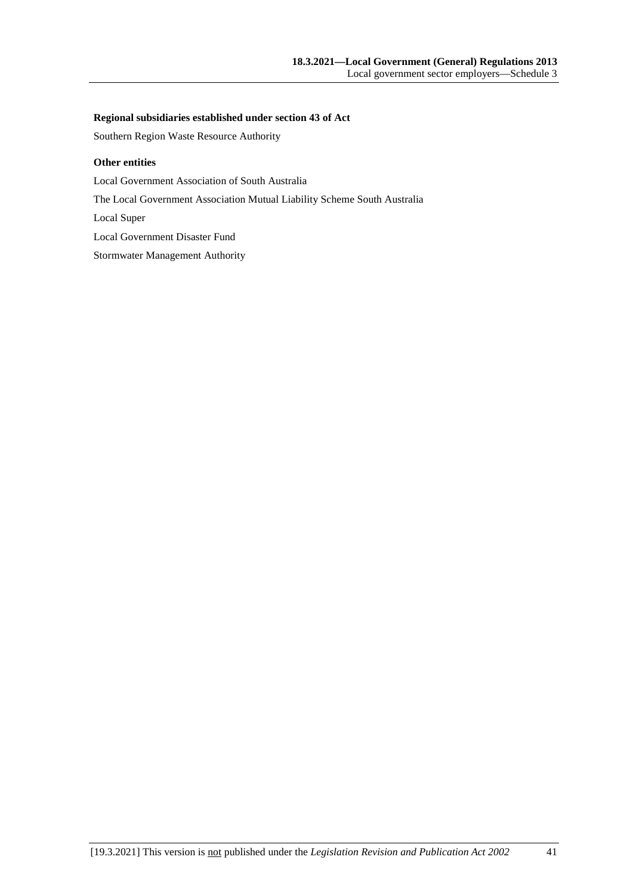#### **Regional subsidiaries established under section 43 of Act**

Southern Region Waste Resource Authority

#### **Other entities**

Local Government Association of South Australia

The Local Government Association Mutual Liability Scheme South Australia

Local Super

Local Government Disaster Fund

Stormwater Management Authority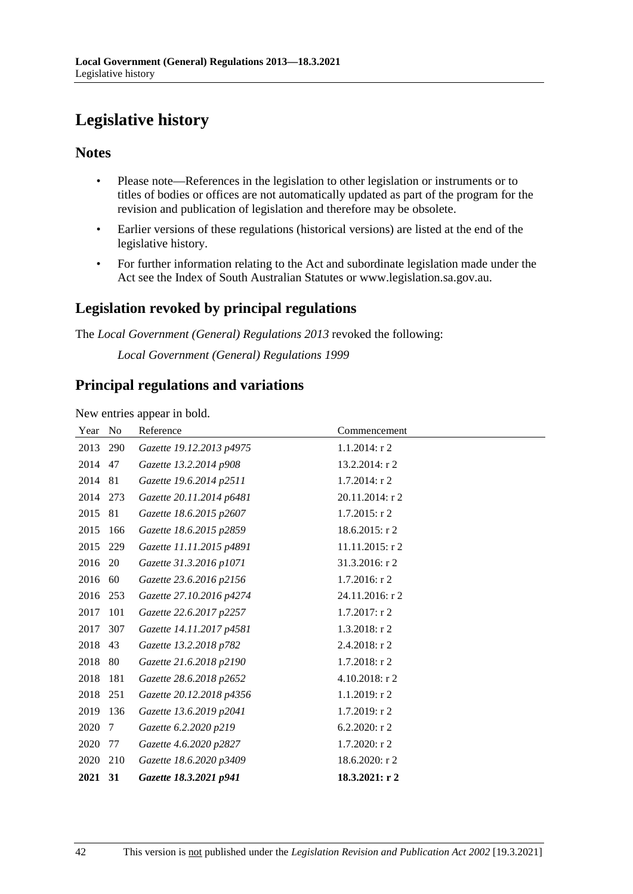# **Legislative history**

### **Notes**

- Please note—References in the legislation to other legislation or instruments or to titles of bodies or offices are not automatically updated as part of the program for the revision and publication of legislation and therefore may be obsolete.
- Earlier versions of these regulations (historical versions) are listed at the end of the legislative history.
- For further information relating to the Act and subordinate legislation made under the Act see the Index of South Australian Statutes or www.legislation.sa.gov.au.

## **Legislation revoked by principal regulations**

The *Local Government (General) Regulations 2013* revoked the following:

*Local Government (General) Regulations 1999*

### **Principal regulations and variations**

New entries appear in bold.

| Year No  |     | Reference                | Commencement     |
|----------|-----|--------------------------|------------------|
| 2013 290 |     | Gazette 19.12.2013 p4975 | $1.1.2014$ : r 2 |
| 2014     | 47  | Gazette 13.2.2014 p908   | 13.2.2014: r 2   |
| 2014     | 81  | Gazette 19.6.2014 p2511  | $1.7.2014$ : r 2 |
| 2014 273 |     | Gazette 20.11.2014 p6481 | 20.11.2014: r 2  |
| 2015     | 81  | Gazette 18.6.2015 p2607  | $1.7.2015$ : r 2 |
| 2015     | 166 | Gazette 18.6.2015 p2859  | 18.6.2015: r 2   |
| 2015     | 229 | Gazette 11.11.2015 p4891 | 11.11.2015: r 2  |
| 2016     | 20  | Gazette 31.3.2016 p1071  | 31.3.2016: r 2   |
| 2016     | 60  | Gazette 23.6.2016 p2156  | 1.7.2016: r 2    |
| 2016     | 253 | Gazette 27.10.2016 p4274 | 24.11.2016: r 2  |
| 2017     | 101 | Gazette 22.6.2017 p2257  | $1.7.2017$ : r 2 |
| 2017     | 307 | Gazette 14.11.2017 p4581 | $1.3.2018$ : r 2 |
| 2018     | 43  | Gazette 13.2.2018 p782   | 2.4.2018: r 2    |
| 2018     | 80  | Gazette 21.6.2018 p2190  | 1.7.2018: r 2    |
| 2018     | 181 | Gazette 28.6.2018 p2652  | 4.10.2018: r 2   |
| 2018     | 251 | Gazette 20.12.2018 p4356 | 1.1.2019: r 2    |
| 2019     | 136 | Gazette 13.6.2019 p2041  | 1.7.2019: r 2    |
| 2020     | 7   | Gazette 6.2.2020 p219    | 6.2.2020: $r$ 2  |
| 2020     | 77  | Gazette 4.6.2020 p2827   | $1.7.2020:$ r 2  |
| 2020     | 210 | Gazette 18.6.2020 p3409  | 18.6.2020: r 2   |
| 2021 31  |     | Gazette 18.3.2021 p941   | 18.3.2021: r 2   |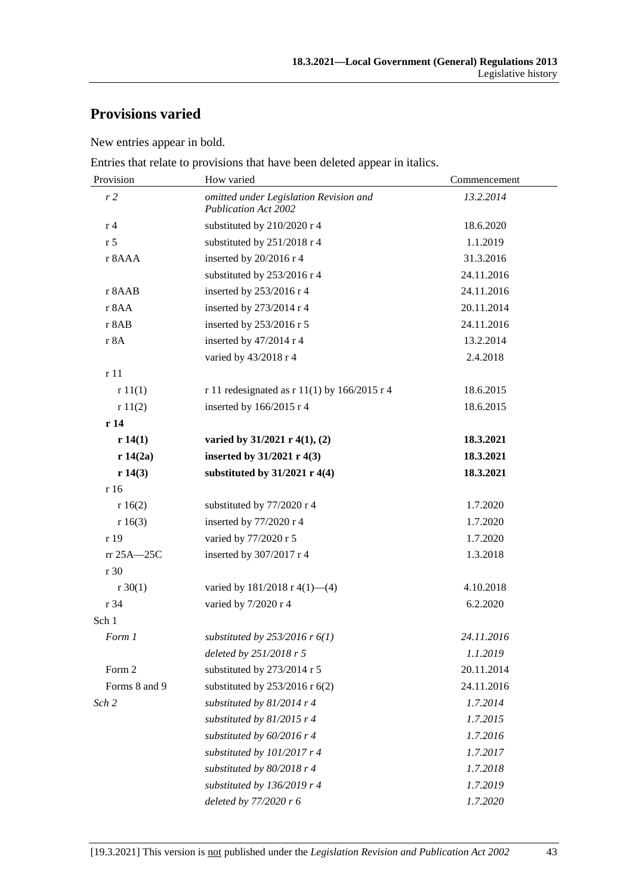# **Provisions varied**

New entries appear in bold.

Entries that relate to provisions that have been deleted appear in italics.

| Provision      | How varied                                                            | Commencement |  |
|----------------|-----------------------------------------------------------------------|--------------|--|
| r2             | omitted under Legislation Revision and<br><b>Publication Act 2002</b> | 13.2.2014    |  |
| r <sub>4</sub> | substituted by 210/2020 r 4                                           | 18.6.2020    |  |
| r <sub>5</sub> | substituted by 251/2018 r 4                                           | 1.1.2019     |  |
| r 8AAA         | inserted by 20/2016 r 4                                               | 31.3.2016    |  |
|                | substituted by 253/2016 r 4                                           | 24.11.2016   |  |
| r 8AAB         | inserted by 253/2016 r 4                                              | 24.11.2016   |  |
| r 8AA          | inserted by 273/2014 r 4                                              | 20.11.2014   |  |
| r 8AB          | inserted by 253/2016 r 5                                              | 24.11.2016   |  |
| r 8A           | inserted by 47/2014 r 4                                               | 13.2.2014    |  |
|                | varied by 43/2018 r 4                                                 | 2.4.2018     |  |
| r11            |                                                                       |              |  |
| r11(1)         | r 11 redesignated as $r$ 11(1) by 166/2015 r 4                        | 18.6.2015    |  |
| r11(2)         | inserted by 166/2015 r 4                                              | 18.6.2015    |  |
| r14            |                                                                       |              |  |
| r 14(1)        | varied by $31/2021$ r 4(1), (2)                                       | 18.3.2021    |  |
| r 14(2a)       | inserted by 31/2021 r 4(3)                                            | 18.3.2021    |  |
| r 14(3)        | substituted by $31/2021$ r 4(4)                                       | 18.3.2021    |  |
| r 16           |                                                                       |              |  |
| r 16(2)        | substituted by 77/2020 r 4                                            | 1.7.2020     |  |
| r 16(3)        | inserted by 77/2020 r 4                                               | 1.7.2020     |  |
| r 19           | varied by 77/2020 r 5                                                 | 1.7.2020     |  |
| $rr 25A - 25C$ | inserted by 307/2017 r 4                                              | 1.3.2018     |  |
| r 30           |                                                                       |              |  |
| $r \, 30(1)$   | varied by $181/2018$ r 4(1)–(4)                                       | 4.10.2018    |  |
| r 34           | varied by 7/2020 r 4                                                  | 6.2.2020     |  |
| Sch 1          |                                                                       |              |  |
| Form 1         | substituted by $253/2016$ r $6(1)$                                    | 24.11.2016   |  |
|                | deleted by 251/2018 r 5                                               | 1.1.2019     |  |
| Form 2         | substituted by 273/2014 r 5                                           | 20.11.2014   |  |
| Forms 8 and 9  | substituted by $253/2016$ r $6(2)$                                    | 24.11.2016   |  |
| Sch 2          | substituted by 81/2014 r 4                                            | 1.7.2014     |  |
|                | substituted by $81/2015$ r 4                                          | 1.7.2015     |  |
|                | substituted by 60/2016 r 4                                            | 1.7.2016     |  |
|                | substituted by 101/2017 r 4                                           | 1.7.2017     |  |
|                | substituted by $80/2018$ r 4                                          | 1.7.2018     |  |
|                | substituted by $136/2019$ r 4                                         | 1.7.2019     |  |
|                | deleted by 77/2020 r 6                                                | 1.7.2020     |  |